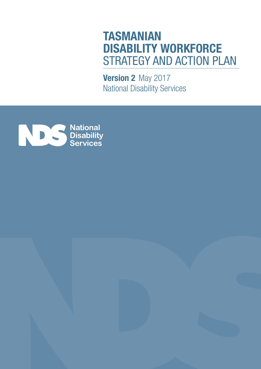# **TASMANIAN DISABILITY WORKFORCE** STRATEGY AND ACTION PLAN

**Version 2** May 2017 National Disability Services



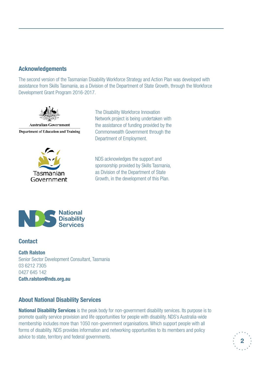## **Acknowledgements**

The second version of the Tasmanian Disability Workforce Strategy and Action Plan was developed with assistance from Skills Tasmania, as a Division of the Department of State Growth, through the Workforce Development Grant Program 2016-2017.



**Australian Government Department of Education and Training** 



The Disability Workforce Innovation Network project is being undertaken with the assistance of funding provided by the Commonwealth Government through the Department of Employment.

NDS acknowledges the support and sponsorship provided by Skills Tasmania, as Division of the Department of State Growth, in the development of this Plan.



## **Contact**

**Cath Ralston** Senior Sector Development Consultant, Tasmania 03 6212 7305 0427 645 142 **Cath.ralston@nds.org.au**

## **About National Disability Services**

**National Disability Services** is the peak body for non-government disability services. Its purpose is to promote quality service provision and life opportunities for people with disability. NDS's Australia-wide membership includes more than 1050 non-government organisations. Which support people with all forms of disability. NDS provides information and networking opportunities to its members and policy advice to state, territory and federal governments.

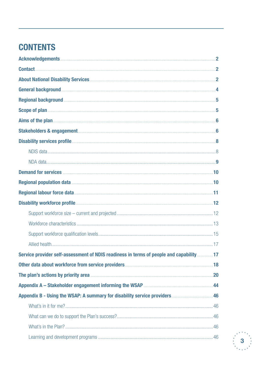## **CONTENTS**

| General background <b>Manual According to the Contract of According to the Contract of According to the Contract of According to According to the Contract of According to According to According to According to According to t</b>     |  |
|------------------------------------------------------------------------------------------------------------------------------------------------------------------------------------------------------------------------------------------|--|
| Regional background <b>Manual Manual Communities</b> 5                                                                                                                                                                                   |  |
|                                                                                                                                                                                                                                          |  |
|                                                                                                                                                                                                                                          |  |
| Stakeholders & engagement <b>Executive Construction Construction</b> 6                                                                                                                                                                   |  |
|                                                                                                                                                                                                                                          |  |
|                                                                                                                                                                                                                                          |  |
|                                                                                                                                                                                                                                          |  |
|                                                                                                                                                                                                                                          |  |
|                                                                                                                                                                                                                                          |  |
|                                                                                                                                                                                                                                          |  |
|                                                                                                                                                                                                                                          |  |
|                                                                                                                                                                                                                                          |  |
|                                                                                                                                                                                                                                          |  |
|                                                                                                                                                                                                                                          |  |
|                                                                                                                                                                                                                                          |  |
| Service provider self-assessment of NDIS readiness in terms of people and capability17                                                                                                                                                   |  |
|                                                                                                                                                                                                                                          |  |
| The plan's actions by priority area <b>manufactures</b> and the plan's actions by priority area <b>manufactures</b> and the plants and the plants and the plants are all the plants of the plants of the plants of the plants of the pla |  |
|                                                                                                                                                                                                                                          |  |
|                                                                                                                                                                                                                                          |  |
|                                                                                                                                                                                                                                          |  |
|                                                                                                                                                                                                                                          |  |
|                                                                                                                                                                                                                                          |  |
|                                                                                                                                                                                                                                          |  |

![](_page_2_Picture_2.jpeg)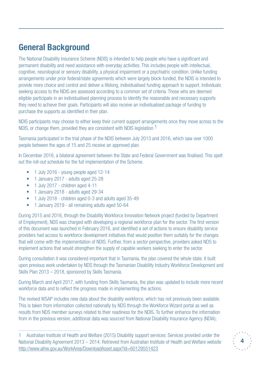## **General Background**

The National Disability Insurance Scheme (NDIS) is intended to help people who have a significant and permanent disability and need assistance with everyday activities. This includes people with intellectual, cognitive, neurological or sensory disability, a physical impairment or a psychiatric condition. Unlike funding arrangements under prior federal/state agreements which were largely block-funded, the NDIS is intended to provide more choice and control and deliver a lifelong, individualised funding approach to support. Individuals seeking access to the NDIS are assessed according to a common set of criteria. Those who are deemed eligible participate in an individualised planning process to identify the reasonable and necessary supports they need to achieve their goals. Participants will also receive an individualised package of funding to purchase the supports as identified in their plan.

NDIS participants may choose to either keep their current support arrangements once they move across to the NDIS, or change them, provided they are consistent with NDIS legislation.<sup>1</sup>

Tasmania participated in the trial phase of the NDIS between July 2013 and 2016, which saw over 1000 people between the ages of 15 and 25 receive an approved plan.

In December 2016, a bilateral agreement between the State and Federal Government was finalised. This spelt out the roll-out schedule for the full implementation of the Scheme.

- 1 July 2016 young people aged 12-14
- • 1 January 2017 adults aged 25-28
- 1 July 2017 children aged 4-11
- 1 January 2018 adults aged 29-34
- • 1 July 2018 children aged 0-3 and adults aged 35-49
- 1 January 2019 all remaining adults aged 50-64

During 2015 and 2016, through the Disability Workforce Innovation Network project (funded by Department of Employment), NDS was charged with developing a regional workforce plan for the sector. The first version of this document was launched in February 2016, and identified a set of actions to ensure disability service providers had access to workforce development initiatives that would position them suitably for the changes that will come with the implementation of NDIS. Further, from a sector perspective, providers asked NDS to implement actions that would strengthen the supply of capable workers seeking to enter the sector.

During consultation it was considered important that in Tasmania, the plan covered the whole state. It built upon previous work undertaken by NDS through the Tasmanian Disability Industry Workforce Development and Skills Plan 2013 – 2018, sponsored by Skills Tasmania.

During March and April 2017, with funding from Skills Tasmania, the plan was updated to include more recent workforce data and to reflect the progress made in implementing the actions.

The revised WSAP includes new data about the disability workforce, which has not previously been available. This is taken from information collected nationally by NDS through the Workforce Wizard portal as well as results from NDS member surveys related to their readiness for the NDIS. To further enhance the information from in the previous version, additional data was sourced from National Disability Insurance Agency (NDIA);

<sup>1</sup> Australian Institute of Health and Welfare (2015) Disability support services: Services provided under the National Disability Agreement 2013 – 2014. Retrieved from Australian Institute of Health and Welfare website http://www.aihw.gov.au/WorkArea/DownloadAsset.aspx?id=60129551423

![](_page_3_Picture_16.jpeg)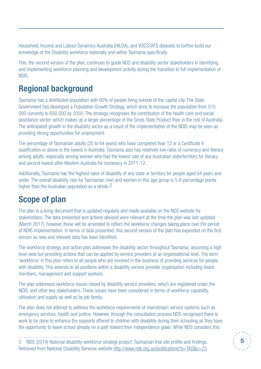Household, Income and Labour Dynamics Australia (HILDA); and VOCSTATS datasets to further build our knowledge of the Disability workforce nationally and within Tasmania specifically.

This, the second version of the plan, continues to guide NDS and disability sector stakeholders in identifying and implementing workforce planning and development activity during the transition to full implementation of NDIS.

## **Regional background**

Tasmania has a distributed population with 60% of people living outside of the capital city. The State Government has developed a Population Growth Strategy, which aims to increase the population from 515 000 currently to 650 000 by 2050. The strategy recognises the contribution of the health care and social assistance sector, which makes up a larger percentage of the Gross State Product than in the rest of Australia. The anticipated growth in the disability sector as a result of the implementation of the NDIS may be seen as providing strong opportunities for employment.

The percentage of Tasmanian adults (20 to 64 years) who have completed Year 12 or a Certificate II qualification or above is the lowest in Australia. Tasmania also has relatively low rates of numeracy and literacy among adults, especially among women who had the lowest rate of any Australian state/territory for literacy and second lowest after Western Australia for numeracy in 2011-12.

Additionally, Tasmania has the highest rates of disability of any state or territory for people aged 64 years and under. The overall disability rate for Tasmanian men and women in this age group is 5-6 percentage points higher than the Australian population as a whole.<sup>2</sup>

## **Scope of plan**

The plan is a living document that is updated regularly and made available on the NDS website for stakeholders. The data presented and actions devised were relevant at the time the plan was last updated (March 2017), however these will be amended to reflect the workforce changes taking place over the period of NDIS implementation. In terms of data presented, this second version of the plan has expanded on the first version as new and relevant data has been identified.

The workforce strategy and action plan addresses the disability sector throughout Tasmania, assuming a high level view but providing actions that can be applied by service providers at an organisational level. The term 'workforce' in this plan refers to all people who are involved in the business of providing services for people with disability. This extends to all positions within a disability service provider organisation including board members, management and support workers.

The plan addresses workforce issues raised by disability service providers, which are registered under the NDIS, and other key stakeholders. These issues have been considered in terms of workforce capability, utilisation and supply as well as by job family.

The plan does not attempt to address the workforce requirements of mainstream service systems such as emergency services, health and justice. However, through the consultation process NDS recognised there is work to be done to enhance the supports offered to children with disability during their schooling so they have the opportunity to leave school already on a path toward their independence goals. While NDS considers this

![](_page_4_Picture_12.jpeg)

<sup>2</sup> NDS (2014) National disability workforce strategy project: Tasmanian trial site profile and findings. Retrieved from National Disability Services website http://www.nds.org.au/publications?s=TAS&c=23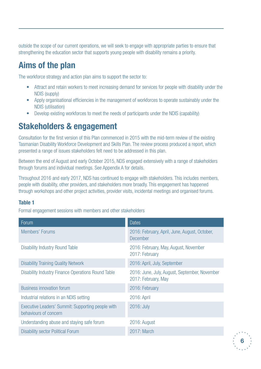outside the scope of our current operations, we will seek to engage with appropriate parties to ensure that strengthening the education sector that supports young people with disability remains a priority.

## **Aims of the plan**

The workforce strategy and action plan aims to support the sector to:

- Attract and retain workers to meet increasing demand for services for people with disability under the NDIS (supply)
- Apply organisational efficiencies in the management of workforces to operate sustainably under the NDIS (utilisation)
- Develop existing workforces to meet the needs of participants under the NDIS (capability)

## **Stakeholders & engagement**

Consultation for the first version of this Plan commenced in 2015 with the mid-term review of the existing Tasmanian Disability Workforce Development and Skills Plan. The review process produced a report, which presented a range of issues stakeholders felt need to be addressed in this plan.

Between the end of August and early October 2015, NDS engaged extensively with a range of stakeholders through forums and individual meetings. See Appendix A for details.

Throughout 2016 and early 2017, NDS has continued to engage with stakeholders. This includes members, people with disability, other providers, and stakeholders more broadly. This engagement has happened through workshops and other project activities, provider visits, incidental meetings and organised forums.

## **Table 1**

Formal engagement sessions with members and other stakeholders

| Forum                                                                      | <b>Dates</b>                                                         |
|----------------------------------------------------------------------------|----------------------------------------------------------------------|
| Members' Forums                                                            | 2016: February, April, June, August, October,<br><b>December</b>     |
| <b>Disability Industry Round Table</b>                                     | 2016: February, May, August, November<br>2017: February              |
| <b>Disability Training Quality Network</b>                                 | 2016: April, July, September                                         |
| <b>Disability Industry Finance Operations Round Table</b>                  | 2016: June, July, August, September, November<br>2017: February, May |
| <b>Business innovation forum</b>                                           | 2016: February                                                       |
| Industrial relations in an NDIS setting                                    | 2016: April                                                          |
| Executive Leaders' Summit: Supporting people with<br>behaviours of concern | 2016: July                                                           |
| Understanding abuse and staying safe forum                                 | 2016: August                                                         |
| <b>Disability sector Political Forum</b>                                   | 2017: March                                                          |

![](_page_5_Picture_13.jpeg)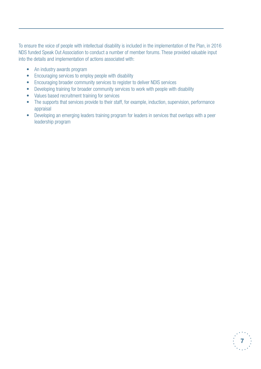To ensure the voice of people with intellectual disability is included in the implementation of the Plan, in 2016 NDS funded Speak Out Association to conduct a number of member forums. These provided valuable input into the details and implementation of actions associated with:

- An industry awards program
- Encouraging services to employ people with disability
- Encouraging broader community services to register to deliver NDIS services
- Developing training for broader community services to work with people with disability
- Values based recruitment training for services
- The supports that services provide to their staff, for example, induction, supervision, performance appraisal
- Developing an emerging leaders training program for leaders in services that overlaps with a peer leadership program

![](_page_6_Picture_8.jpeg)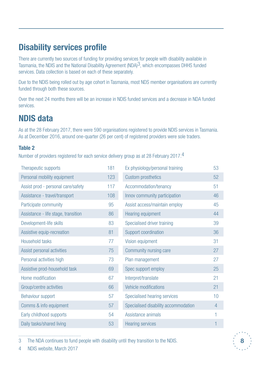## **Disability services profile**

There are currently two sources of funding for providing services for people with disability available in Tasmania, the NDIS and the National Disability Agreement (NDA)3, which encompasses DHHS funded services. Data collection is based on each of these separately.

Due to the NDIS being rolled out by age cohort in Tasmania, most NDS member organisations are currently funded through both these sources.

Over the next 24 months there will be an increase in NDIS funded services and a decrease in NDA funded services.

## **NDIS data**

As at the 28 February 2017, there were 590 organisations registered to provide NDIS services in Tasmania. As at December 2016, around one-quarter (26 per cent) of registered providers were sole traders.

## **Table 2**

Number of providers registered for each service delivery group as at 28 February 2017.4

| Therapeutic supports                | 181 | Ex physiology/personal training      | 53             |
|-------------------------------------|-----|--------------------------------------|----------------|
| Personal mobility equipment         | 123 | <b>Custom prosthetics</b>            | 52             |
| Assist prod - personal care/safety  | 117 | Accommodation/tenancy                | 51             |
| Assistance - travel/transport       | 108 | Innov community participation        | 46             |
| Participate community               | 95  | Assist access/maintain employ        | 45             |
| Assistance - life stage, transition | 86  | Hearing equipment                    | 44             |
| Development-life skills             | 83  | Specialised driver training          | 39             |
| Assistive equip-recreation          | 81  | Support coordination                 | 36             |
| Household tasks                     | 77  | Vision equipment                     | 31             |
| Assist personal activities          | 75  | Community nursing care               | 27             |
| Personal activities high            | 73  | Plan management                      | 27             |
| Assistive prod-household task       | 69  | Spec support employ                  | 25             |
| Home modification                   | 67  | Interpret/translate                  | 21             |
| Group/centre activities             | 66  | Vehicle modifications                | 21             |
| Behaviour support                   | 57  | Specialised hearing services         | 10             |
| Comms & info equipment              | 57  | Specialised disability accommodation | $\overline{4}$ |
| Early childhood supports            | 54  | Assistance animals                   |                |
| Daily tasks/shared living           | 53  | <b>Hearing services</b>              |                |

3 The NDA continues to fund people with disability until they transition to the NDIS.

![](_page_7_Picture_10.jpeg)

![](_page_7_Picture_11.jpeg)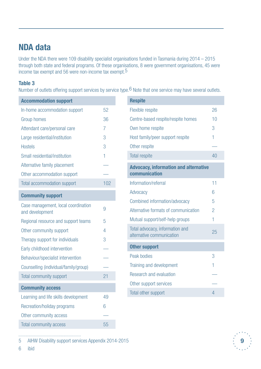## **NDA data**

Under the NDA there were 109 disability specialist organisations funded in Tasmania during 2014 – 2015 through both state and federal programs. Of these organisations, 8 were government organisations, 45 were income tax exempt and 56 were non-income tax exempt.5

### **Table 3**

Number of outlets offering support services by service type.6 Note that one service may have several outlets.

| <b>Accommodation support</b>          |                | <b>Respite</b>                               |
|---------------------------------------|----------------|----------------------------------------------|
| In-home accommodation support         | 52             | Flexible respite<br>26                       |
| Group homes                           | 36             | Centre-based respite/respite homes<br>10     |
| Attendant care/personal care          | $\overline{7}$ | 3<br>Own home respite                        |
| Large residential/institution         | 3              | Host family/peer support respite             |
| <b>Hostels</b>                        | 3              | Other respite                                |
| Small residential/institution         | 1              | <b>Total respite</b><br>40                   |
| Alternative family placement          |                | <b>Advocacy, information and alternative</b> |
| Other accommodation support           |                | communication                                |
| Total accommodation support           | 102            | Information/referral<br>11                   |
| <b>Community support</b>              |                | Advocacy<br>6                                |
| Case management, local coordination   |                | Combined information/advocacy<br>5           |
| and development                       | 9              | Alternative formats of communication<br>2    |
| Regional resource and support teams   | 5              | Mutual support/self-help groups              |
| Other community support               | 4              | Total advocacy, information and<br>25        |
| Therapy support for individuals       | 3              | alternative communication                    |
| Early childhood intervention          |                | <b>Other support</b>                         |
| Behaviour/specialist intervention     |                | Peak bodies<br>3                             |
| Counselling (individual/family/group) |                | Training and development                     |
| Total community support               | 21             | Research and evaluation                      |
| <b>Community access</b>               |                | Other support services                       |
| Learning and life skills development  | 49             | Total other support<br>4                     |
| Recreation/holiday programs           | $6\,$          |                                              |
| Other community access                |                |                                              |
| Total community access                | 55             |                                              |

5 AIHW Disability support services Appendix 2014-2015

6 ibid

![](_page_8_Picture_6.jpeg)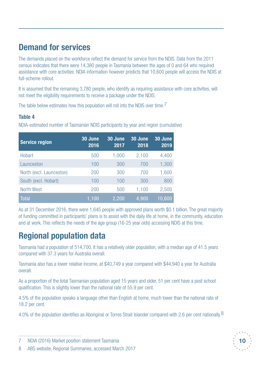## **Demand for services**

The demands placed on the workforce reflect the demand for service from the NDIS. Data from the 2011 census indicates that there were 14,380 people in Tasmania between the ages of 0 and 64 who required assistance with core activities. NDIA information however predicts that 10,600 people will access the NDIS at full-scheme rollout.

It is assumed that the remaining 3,780 people, who identify as requiring assistance with core activities, will not meet the eligibility requirements to receive a package under the NDIS.

The table below estimates how this population will roll into the NDIS over time.<sup>7</sup>

## **Table 4**

NDIA-estimated number of Tasmanian NDIS participants by year and region (cumulative)

| <b>Service region</b>    | 30 June<br>2016 | 30 June<br>2017 | 30 June<br>2018 | 30 June<br>2019 |
|--------------------------|-----------------|-----------------|-----------------|-----------------|
| Hobart                   | 500             | 1,000           | 2,100           | 4,400           |
| Launceston               | 100             | 300             | 700             | 1,300           |
| North (excl. Launceston) | 200             | 300             | 700             | 1,600           |
| South (excl. Hobart)     | 100             | 100             | 300             | 800             |
| North West               | 200             | 500             | 1,100           | 2,500           |
| <b>Total</b>             | 1,100           | 2,200           | 4,900           | 10,600          |

As at 31 December 2016, there were 1,645 people with approved plans worth \$0.1 billion. The great majority of funding committed in participants' plans is to assist with the daily life at home, in the community, education and at work. This reflects the needs of the age group (16-25 year olds) accessing NDIS at this time.

## **Regional population data**

Tasmania had a population of 514,700. It has a relatively older population, with a median age of 41.5 years compared with 37.3 years for Australia overall.

Tasmania also has a lower relative income, at \$40,749 a year compared with \$44,940 a year for Australia overall.

As a proportion of the total Tasmanian population aged 15 years and older, 51 per cent have a post school qualification. This is slightly lower than the national rate of 55.9 per cent.

4.5% of the population speaks a language other than English at home, much lower than the national rate of 18.2 per cent.

4.0% of the population identifies as Aboriginal or Torres Strait Islander compared with 2.6 per cent nationally.8

![](_page_9_Picture_16.jpeg)

<sup>7</sup> NDIA (2016) Market position statement Tasmania

<sup>8</sup> ABS website, Regional Summaries, accessed March 2017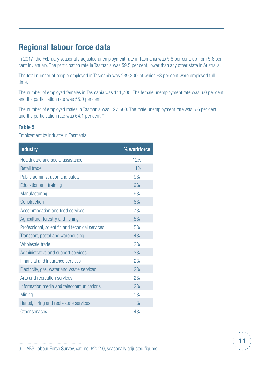## **Regional labour force data**

In 2017, the February seasonally adjusted unemployment rate in Tasmania was 5.8 per cent, up from 5.6 per cent in January. The participation rate in Tasmania was 59.5 per cent, lower than any other state in Australia.

The total number of people employed in Tasmania was 239,200, of which 63 per cent were employed fulltime.

The number of employed females in Tasmania was 111,700. The female unemployment rate was 6.0 per cent and the participation rate was 55.0 per cent.

The number of employed males in Tasmania was 127,600. The male unemployment rate was 5.6 per cent and the participation rate was 64.1 per cent.9

### **Table 5**

Employment by industry in Tasmania

| <b>Industry</b>                                 | % workforce |
|-------------------------------------------------|-------------|
| Health care and social assistance               | 12%         |
| <b>Retail trade</b>                             | 11%         |
| Public administration and safety                | 9%          |
| <b>Education and training</b>                   | 9%          |
| Manufacturing                                   | 9%          |
| Construction                                    | 8%          |
| Accommodation and food services                 | 7%          |
| Agriculture, forestry and fishing               | 5%          |
| Professional, scientific and technical services | 5%          |
| Transport, postal and warehousing               | 4%          |
| Wholesale trade                                 | 3%          |
| Administrative and support services             | 3%          |
| Financial and insurance services                | 2%          |
| Electricity, gas, water and waste services      | 2%          |
| Arts and recreation services                    | 2%          |
| Information media and telecommunications        | 2%          |
| <b>Mining</b>                                   | 1%          |
| Rental, hiring and real estate services         | 1%          |
| Other services                                  | 4%          |

![](_page_10_Picture_8.jpeg)

<sup>9</sup> ABS Labour Force Survey, cat. no. 6202.0, seasonally adjusted figures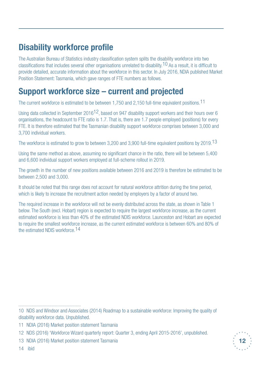## **Disability workforce profile**

The Australian Bureau of Statistics industry classification system splits the disability workforce into two classifications that includes several other organisations unrelated to disability.<sup>10</sup> As a result, it is difficult to provide detailed, accurate information about the workforce in this sector. In July 2016, NDIA published Market Position Statement: Tasmania, which gave ranges of FTE numbers as follows.

## **Support workforce size – current and projected**

The current workforce is estimated to be between 1,750 and 2,150 full-time equivalent positions.<sup>11</sup>

Using data collected in September 2016<sup>12</sup>, based on 947 disability support workers and their hours over 6 organisations, the headcount to FTE ratio is 1.7. That is, there are 1.7 people employed (positions) for every FTE. It is therefore estimated that the Tasmanian disability support workforce comprises between 3,000 and 3,700 individual workers.

The workforce is estimated to grow to between 3,200 and 3,900 full-time equivalent positions by 2019.<sup>13</sup>

Using the same method as above, assuming no significant chance in the ratio, there will be between 5,400 and 6,600 individual support workers employed at full-scheme rollout in 2019.

The growth in the number of new positions available between 2016 and 2019 is therefore be estimated to be between 2,500 and 3,000.

It should be noted that this range does not account for natural workforce attrition during the time period, which is likely to increase the recruitment action needed by employers by a factor of around two.

The required increase in the workforce will not be evenly distributed across the state, as shown in Table 1 below. The South (excl. Hobart) region is expected to require the largest workforce increase, as the current estimated workforce is less than 40% of the estimated NDIS workforce. Launceston and Hobart are expected to require the smallest workforce increase, as the current estimated workforce is between 60% and 80% of the estimated NDIS workforce.14

**12**

<sup>10</sup> NDS and Windsor and Associates (2014) Roadmap to a sustainable workforce: Improving the quality of disability workforce data. Unpublished.

<sup>11</sup> NDIA (2016) Market position statement Tasmania

<sup>12</sup> NDS (2016) 'Workforce Wizard quarterly report: Quarter 3, ending April 2015-2016', unpublished.

<sup>13</sup> NDIA (2016) Market position statement Tasmania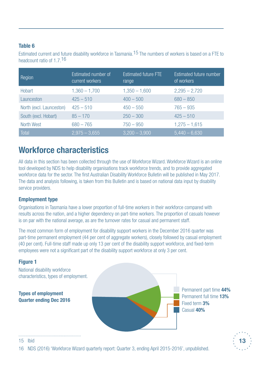## **Table 6**

Estimated current and future disability workforce in Tasmania.15 The numbers of workers is based on a FTE to headcount ratio of 1.7.16

| Region                   | Estimated number of<br>current workers | Estimated future FTE<br>range | Estimated future number<br>of workers |
|--------------------------|----------------------------------------|-------------------------------|---------------------------------------|
| <b>Hobart</b>            | $1,360 - 1,700$                        | $1,350 - 1,600$               | $2,295 - 2,720$                       |
| Launceston               | $425 - 510$                            | $400 - 500$                   | $680 - 850$                           |
| North (excl. Launceston) | $425 - 510$                            | $450 - 550$                   | $765 - 935$                           |
| South (excl. Hobart)     | $85 - 170$                             | $250 - 300$                   | $425 - 510$                           |
| North West               | $680 - 765$                            | $750 - 950$                   | $1,275 - 1,615$                       |
| Total                    | $2,975 - 3,655$                        | $3,200 - 3,900$               | $5,440 - 6,630$                       |

## **Workforce characteristics**

All data in this section has been collected through the use of Workforce Wizard. Workforce Wizard is an online tool developed by NDS to help disability organisations track workforce trends, and to provide aggregated workforce data for the sector. The first Australian Disability Workforce Bulletin will be published in May 2017. The data and analysis following, is taken from this Bulletin and is based on national data input by disability service providers.

## **Employment type**

Organisations in Tasmania have a lower proportion of full-time workers in their workforce compared with results across the nation, and a higher dependency on part-time workers. The proportion of casuals however is on par with the national average, as are the turnover rates for casual and permanent staff.

The most common form of employment for disability support workers in the December 2016 quarter was part-time permanent employment (44 per cent of aggregate workers), closely followed by casual employment (40 per cent). Full-time staff made up only 13 per cent of the disability support workforce, and fixed-term employees were not a significant part of the disability support workforce at only 3 per cent.

## **Figure 1**

National disability workforce characteristics, types of employment.

**Types of employment Quarter ending Dec 2016**  Permanent part time **44%** Permanent full time **13%** Fixed term **3%** Casual **40%**

![](_page_12_Picture_12.jpeg)

15 Ibid

16 NDS (2016) 'Workforce Wizard quarterly report: Quarter 3, ending April 2015-2016', unpublished.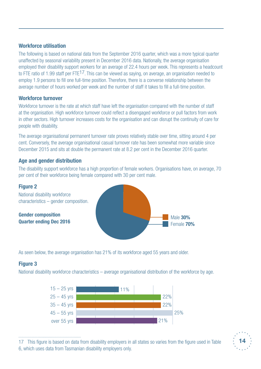## **Workforce utilisation**

The following is based on national data from the September 2016 quarter, which was a more typical quarter unaffected by seasonal variability present in December 2016 data. Nationally, the average organisation employed their disability support workers for an average of 22.4 hours per week. This represents a headcount to FTE ratio of 1.99 staff per FTE<sup>17</sup>. This can be viewed as saying, on average, an organisation needed to employ 1.9 persons to fill one full-time position. Therefore, there is a converse relationship between the average number of hours worked per week and the number of staff it takes to fill a full-time position.

### **Workforce turnover**

Workforce turnover is the rate at which staff have left the organisation compared with the number of staff at the organisation. High workforce turnover could reflect a disengaged workforce or pull factors from work in other sectors. High turnover increases costs for the organisation and can disrupt the continuity of care for people with disability.

The average organisational permanent turnover rate proves relatively stable over time, sitting around 4 per cent. Conversely, the average organisational casual turnover rate has been somewhat more variable since December 2015 and sits at double the permanent rate at 8.2 per cent in the December 2016 quarter.

## **Age and gender distribution**

The disability support workforce has a high proportion of female workers. Organisations have, on average, 70 per cent of their workforce being female compared with 30 per cent male.

![](_page_13_Figure_7.jpeg)

As seen below, the average organisation has 21% of its workforce aged 55 years and older.

## **Figure 3**

National disability workforce characteristics – average organisational distribution of the workforce by age.

![](_page_13_Figure_11.jpeg)

<sup>17</sup> This figure is based on data from disability employers in all states so varies from the figure used in Table 6, which uses data from Tasmanian disability employers only.

![](_page_13_Picture_13.jpeg)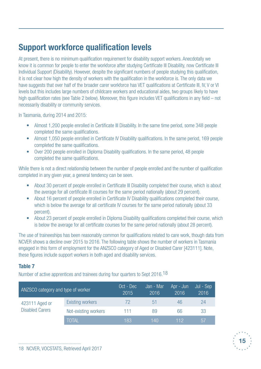## **Support workforce qualification levels**

At present, there is no minimum qualification requirement for disability support workers. Anecdotally we know it is common for people to enter the workforce after studying Certificate III Disability, now Certificate III Individual Support (Disability). However, despite the significant numbers of people studying this qualification, it is not clear how high the density of workers with the qualification in the workforce is. The only data we have suggests that over half of the broader carer workforce has VET qualifications at Certificate III, IV, V or VI levels but this includes large numbers of childcare workers and educational aides, two groups likely to have high qualification rates (see Table 2 below). Moreover, this figure includes VET qualifications in any field – not necessarily disability or community services.

In Tasmania, during 2014 and 2015:

- Almost 1,200 people enrolled in Certificate III Disability. In the same time period, some 348 people completed the same qualifications.
- Almost 1,050 people enrolled in Certificate IV Disability qualifications. In the same period, 169 people completed the same qualifications.
- Over 200 people enrolled in Diploma Disability qualifications. In the same period, 48 people completed the same qualifications.

While there is not a direct relationship between the number of people enrolled and the number of qualification completed in any given year, a general tendency can be seen.

- About 30 percent of people enrolled in Certificate III Disability completed their course, which is about the average for all certificate III courses for the same period nationally (about 29 percent).
- About 16 percent of people enrolled in Certificate IV Disability qualifications completed their course, which is below the average for all certificate IV courses for the same period nationally (about 33 percent).
- About 23 percent of people enrolled in Diploma Disability qualifications completed their course, which is below the average for all certificate courses for the same period nationally (about 28 percent).

The use of traineeships has been reasonably common for qualifications related to care work, though data from NCVER shows a decline over 2015 to 2016. The following table shows the number of workers in Tasmania engaged in this form of employment for the ANZSCO category of Aged or Disabled Carer [423111]. Note, these figures include support workers in both aged and disability services.

## **Table 7**

Number of active apprentices and trainees during four quarters to Sept 2016.<sup>18</sup>

| ANZSCO category and type of worker       |                         | Oct - Dec<br>2015 | Jan - Mar<br>2016 | Apr - Jun<br>2016 | Jul - Sep<br>2016 |
|------------------------------------------|-------------------------|-------------------|-------------------|-------------------|-------------------|
| 423111 Aged or<br><b>Disabled Carers</b> | <b>Existing workers</b> | 72                | 51                | 46                | 24                |
|                                          | Not-existing workers    | 111               | 89                | 66                | 33                |
|                                          | <b>TOTAL</b>            | 183               | 140               | 112.              | 57                |

![](_page_14_Picture_14.jpeg)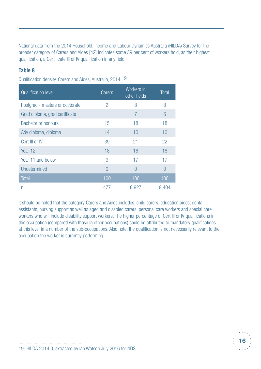National data from the 2014 Household, Income and Labour Dynamics Australia (HILDA) Survey for the broader category of Carers and Aides [42] indicates some 39 per cent of workers hold, as their highest qualification, a Certificate III or IV qualification in any field.

## **Table 8**

Qualification density, Carers and Aides, Australia, 2014.19

| <b>Qualification level</b>      | Carers         | Workers in<br>other fields | <b>Total</b> |
|---------------------------------|----------------|----------------------------|--------------|
| Postgrad - masters or doctorate | $\overline{2}$ | 8                          | 8            |
| Grad diploma, grad certificate  | 1              | $\overline{7}$             | 6            |
| <b>Bachelor or honours</b>      | 15             | 18                         | 18           |
| Adv diploma, diploma            | 14             | 10                         | 10           |
| Cert III or IV                  | 39             | 21                         | 22           |
| Year 12                         | 18             | 18                         | 18           |
| Year 11 and below               | 9              | 17                         | 17           |
| Undetermined                    | $\bigcap$      | $\bigcap$                  | $\Omega$     |
| <b>Total</b>                    | 100            | 100                        | 100          |
| n                               | 477            | 8,927                      | 9,404        |

It should be noted that the category Carers and Aides includes: child carers, education aides, dental assistants, nursing support as well as aged and disabled carers, personal care workers and special care workers who will include disability support workers. The higher percentage of Cert III or IV qualifications in this occupation (compared with those in other occupations) could be attributed to mandatory qualifications at this level in a number of the sub-occupations. Also note, the qualification is not necessarily relevant to the occupation the worker is currently performing.

![](_page_15_Picture_5.jpeg)

<sup>19</sup> HILDA 2014.0, extracted by Ian Watson July 2016 for NDS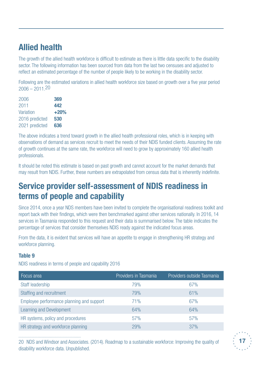## **Allied health**

The growth of the allied health workforce is difficult to estimate as there is little data specific to the disability sector. The following information has been sourced from data from the last two censuses and adjusted to reflect an estimated percentage of the number of people likely to be working in the disability sector.

Following are the estimated variations in allied health workforce size based on growth over a five year period 2006 – 2011.20

| 2006           | 369    |
|----------------|--------|
| 2011           | 442    |
| Variation      | $+20%$ |
| 2016 predicted | 530    |
| 2021 predicted | 636    |

The above indicates a trend toward growth in the allied health professional roles, which is in keeping with observations of demand as services recruit to meet the needs of their NDIS funded clients. Assuming the rate of growth continues at the same rate, the workforce will need to grow by approximately 160 allied health professionals.

It should be noted this estimate is based on past growth and cannot account for the market demands that may result from NDIS. Further, these numbers are extrapolated from census data that is inherently indefinite.

## **Service provider self-assessment of NDIS readiness in terms of people and capability**

Since 2014, once a year NDS members have been invited to complete the organisational readiness toolkit and report back with their findings, which were then benchmarked against other services nationally. In 2016, 14 services in Tasmania responded to this request and their data is summarised below. The table indicates the percentage of services that consider themselves NDIS ready against the indicated focus areas.

From the data, it is evident that services will have an appetite to engage in strengthening HR strategy and workforce planning.

## **Table 9**

NDIS readiness in terms of people and capability 2016

| Focus area                                | Providers in Tasmania | Providers outside Tasmania |
|-------------------------------------------|-----------------------|----------------------------|
| Staff leadership                          | 79%                   | 67%                        |
| Staffing and recruitment                  | 79%                   | 61%                        |
| Employee performance planning and support | 71%                   | 67%                        |
| Learning and Development                  | 64%                   | 64%                        |
| HR systems, policy and procedures         | 57%                   | 57%                        |
| HR strategy and workforce planning        | 29%                   | 37%                        |

20 NDS and Windsor and Associates. (2014). Roadmap to a sustainable workforce: Improving the quality of disability workforce data. Unpublished.

![](_page_16_Picture_13.jpeg)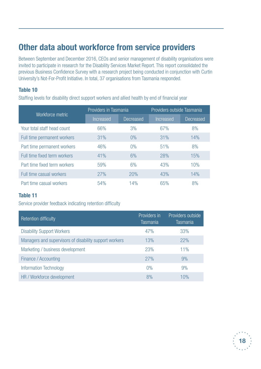## **Other data about workforce from service providers**

Between September and December 2016, CEOs and senior management of disability organisations were invited to participate in research for the Disability Services Market Report. This report consolidated the previous Business Confidence Survey with a research project being conducted in conjunction with Curtin University's Not-For-Profit Initiative. In total, 37 organisations from Tasmania responded.

### **Table 10**

Staffing levels for disability direct support workers and allied health by end of financial year

|                              | Providers in Tasmania |           | Providers outside Tasmania |           |  |
|------------------------------|-----------------------|-----------|----------------------------|-----------|--|
| Workforce metric             | <b>Increased</b>      | Decreased | Increased                  | Decreased |  |
| Your total staff head count  | 66%                   | 3%        | 67%                        | 8%        |  |
| Full time permanent workers  | 31%                   | $0\%$     | 31%                        | 14%       |  |
| Part time permanent workers  | 46%                   | $0\%$     | 51%                        | 8%        |  |
| Full time fixed term workers | 41%                   | 6%        | 28%                        | 15%       |  |
| Part time fixed term workers | 59%                   | 6%        | 43%                        | 10%       |  |
| Full time casual workers     | 27%                   | 20%       | 43%                        | 14%       |  |
| Part time casual workers     | 54%                   | 14%       | 65%                        | 8%        |  |

## **Table 11**

Service provider feedback indicating retention difficulty

| Retention difficulty                                   | Providers in<br><b>Tasmania</b> | Providers outside<br><b>Tasmania</b> |
|--------------------------------------------------------|---------------------------------|--------------------------------------|
| <b>Disability Support Workers</b>                      | 47%                             | 33%                                  |
| Managers and supervisors of disability support workers | 13%                             | 22%                                  |
| Marketing / business development                       | 23%                             | 11%                                  |
| Finance / Accounting                                   | 27%                             | 9%                                   |
| <b>Information Technology</b>                          | 0%                              | 9%                                   |
| HR / Workforce development                             | 8%                              | 10%                                  |

![](_page_17_Picture_8.jpeg)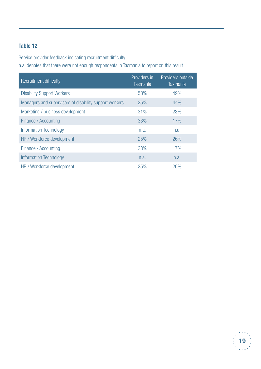## **Table 12**

Service provider feedback indicating recruitment difficulty

n.a. denotes that there were not enough respondents in Tasmania to report on this result

| Recruitment difficulty                                 | Providers in<br><b>Tasmania</b> | Providers outside<br><b>Tasmania</b> |
|--------------------------------------------------------|---------------------------------|--------------------------------------|
| <b>Disability Support Workers</b>                      | 53%                             | 49%                                  |
| Managers and supervisors of disability support workers | 25%                             | 44%                                  |
| Marketing / business development                       | 31%                             | 23%                                  |
| Finance / Accounting                                   | 33%                             | 17%                                  |
| <b>Information Technology</b>                          | n.a.                            | n.a.                                 |
| HR / Workforce development                             | 25%                             | 26%                                  |
| Finance / Accounting                                   | 33%                             | 17%                                  |
| <b>Information Technology</b>                          | n.a.                            | n.a.                                 |
| HR / Workforce development                             | 25%                             | 26%                                  |

![](_page_18_Picture_4.jpeg)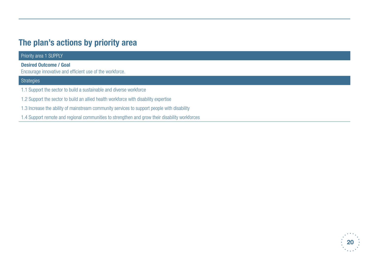## **The plan's actions by priority area**

| Priority area 1 SUPPLY                                                                         |
|------------------------------------------------------------------------------------------------|
| <b>Desired Outcome / Goal</b><br>Encourage innovative and efficient use of the workforce.      |
| Strategies                                                                                     |
| 1.1 Support the sector to build a sustainable and diverse workforce                            |
| 1.2 Support the sector to build an allied health workforce with disability expertise           |
| 1.3 Increase the ability of mainstream community services to support people with disability    |
| 1.4 Support remote and regional communities to strengthen and grow their disability workforces |

![](_page_19_Picture_2.jpeg)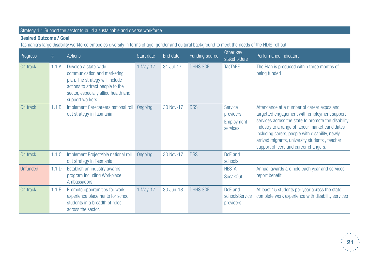## Strategy 1.1 Support the sector to build a sustainable and diverse workforce

### **Desired Outcome / Goal**

Tasmania's large disability workforce embodies diversity in terms of age, gender and cultural background to meet the needs of the NDIS roll out.

| Progress        | #     | <b>Actions</b>                                                                                                                                                                         | Start date | End date  | Funding source  | Other key<br>stakeholders                      | Performance Indicators                                                                                                                                                                                                                                                                                                                             |
|-----------------|-------|----------------------------------------------------------------------------------------------------------------------------------------------------------------------------------------|------------|-----------|-----------------|------------------------------------------------|----------------------------------------------------------------------------------------------------------------------------------------------------------------------------------------------------------------------------------------------------------------------------------------------------------------------------------------------------|
| On track        | 1.1.A | Develop a state-wide<br>communication and marketing<br>plan. The strategy will include<br>actions to attract people to the<br>sector, especially allied health and<br>support workers. | 1 May-17   | 31 Jul-17 | <b>DHHS SDF</b> | <b>TasTAFE</b>                                 | The Plan is produced within three months of<br>being funded                                                                                                                                                                                                                                                                                        |
| On track        | 1.1.B | Implement Carecareers national roll<br>out strategy in Tasmania.                                                                                                                       | Ongoing    | 30 Nov-17 | <b>DSS</b>      | Service<br>providers<br>Employment<br>services | Attendance at a number of career expos and<br>targetted engagement with employment support<br>services across the state to promote the disability<br>industry to a range of labour market candidates<br>including carers, people with disability, newly<br>arrived migrants, university students, teacher<br>support officers and career changers. |
| On track        | 1.1.C | Implement ProjectAble national roll<br>out strategy in Tasmania.                                                                                                                       | Ongoing    | 30 Nov-17 | <b>DSS</b>      | DoE and<br>schools                             |                                                                                                                                                                                                                                                                                                                                                    |
| <b>Unfunded</b> | 1.1.D | Establish an industry awards<br>program including Workplace<br>Ambassadors.                                                                                                            |            |           |                 | <b>HESTA</b><br><b>SpeakOut</b>                | Annual awards are held each year and services<br>report benefit                                                                                                                                                                                                                                                                                    |
| On track        | 1.1.E | Promote opportunities for work<br>experience placements for school<br>students in a breadth of roles<br>across the sector.                                                             | 1 May-17   | 30 Jun-18 | <b>DHHS SDF</b> | DoE and<br>schoolsService<br>providers         | At least 15 students per year across the state<br>complete work experience with disability services                                                                                                                                                                                                                                                |

![](_page_20_Picture_4.jpeg)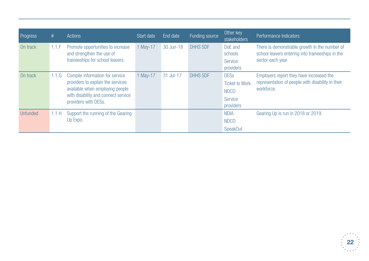| Progress        | #     | Actions                                                                                                                                                                | Start date | End date  | Funding source  | Other key<br>stakeholders                                                   | Performance Indicators                                                                                                |
|-----------------|-------|------------------------------------------------------------------------------------------------------------------------------------------------------------------------|------------|-----------|-----------------|-----------------------------------------------------------------------------|-----------------------------------------------------------------------------------------------------------------------|
| On track        | 1.1.F | Promote opportunities to increase<br>and strengthen the use of<br>traineeships for school leavers.                                                                     | 1 May-17   | 30 Jun-18 | <b>DHHS SDF</b> | DoE and<br>schools<br><b>Service</b><br>providers                           | There is demonstrable growth in the number of<br>school leavers entering into traineeships in the<br>sector each year |
| On track        | 1.1.G | Compile information for service<br>providers to explain the services<br>available when employing people<br>with disability and connect service<br>providers with DESs. | 1 May-17   | 31 Jul-17 | <b>DHHS SDF</b> | <b>DESs</b><br><b>Ticket to Work</b><br><b>NDCO</b><br>Service<br>providers | Employers report they have increased the<br>representation of people with disability in their<br>workforce.           |
| <b>Unfunded</b> | 1.1.H | Support the running of the Gearing<br>Up Expo.                                                                                                                         |            |           |                 | <b>NDIA</b><br><b>NDCO</b><br><b>SpeakOut</b>                               | Gearing Up is run in 2018 or 2019.                                                                                    |

![](_page_21_Picture_1.jpeg)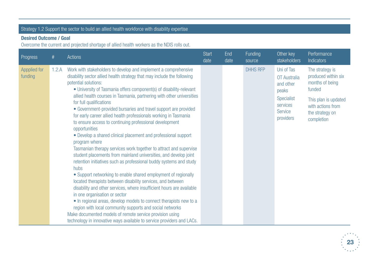## Strategy 1.2 Support the sector to build an allied health workforce with disability expertise

#### **Desired Outcome / Goal**

Overcome the current and projected shortage of allied health workers as the NDIS rolls out.

| Progress                | #     | Actions                                                                                                                                                                                                                                                                                                                                                                                                                                                                                                                                                                                                                                                                                                                                                                                                                                                                                                                                                                                                                                                                                                                                                                                                                                                                                                                                                                                       | <b>Start</b><br>date | End<br>date | Funding<br>source | Other key<br><b>stakeholders</b>                                                                                 | Performance<br>Indicators                                                                                                                         |
|-------------------------|-------|-----------------------------------------------------------------------------------------------------------------------------------------------------------------------------------------------------------------------------------------------------------------------------------------------------------------------------------------------------------------------------------------------------------------------------------------------------------------------------------------------------------------------------------------------------------------------------------------------------------------------------------------------------------------------------------------------------------------------------------------------------------------------------------------------------------------------------------------------------------------------------------------------------------------------------------------------------------------------------------------------------------------------------------------------------------------------------------------------------------------------------------------------------------------------------------------------------------------------------------------------------------------------------------------------------------------------------------------------------------------------------------------------|----------------------|-------------|-------------------|------------------------------------------------------------------------------------------------------------------|---------------------------------------------------------------------------------------------------------------------------------------------------|
| Appplied for<br>funding | 1.2.A | Work with stakeholders to develop and implement a comprehensive<br>disability sector allied health strategy that may include the following<br>potential solutions:<br>• University of Tasmania offers component(s) of disability-relevant<br>allied health courses in Tasmania, partnering with other universities<br>for full qualifications<br>• Government-provided bursaries and travel support are provided<br>for early career allied health professionals working in Tasmania<br>to ensure access to continuing professional development<br>opportunities<br>• Develop a shared clinical placement and professional support<br>program where<br>Tasmanian therapy services work together to attract and supervise<br>student placements from mainland universities, and develop joint<br>retention initiatives such as professional buddy systems and study<br>hubs<br>• Support networking to enable shared employment of regionally<br>located therapists between disability services, and between<br>disability and other services, where insufficient hours are available<br>in one organisation or sector<br>• In regional areas, develop models to connect therapists new to a<br>region with local community supports and social networks<br>Make documented models of remote service provision using<br>technology in innovative ways available to service providers and LACs. |                      |             | <b>DHHS RFP</b>   | Uni of Tas<br>OT Australia<br>and other<br>peaks<br><b>Specialist</b><br>services<br><b>Service</b><br>providers | The strategy is<br>produced within six<br>months of being<br>funded<br>This plan is updated<br>with actions from<br>the strategy on<br>completion |

![](_page_22_Picture_4.jpeg)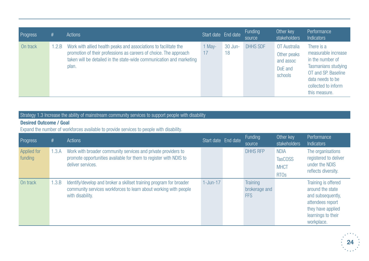| Progress | #    | Actions                                                                                                                                                                                                                | Start date End date |               | <b>Funding</b><br>source | Other key<br>stakeholders                                      | Performance<br><b>Indicators</b>                                                                                                                                |
|----------|------|------------------------------------------------------------------------------------------------------------------------------------------------------------------------------------------------------------------------|---------------------|---------------|--------------------------|----------------------------------------------------------------|-----------------------------------------------------------------------------------------------------------------------------------------------------------------|
| On track | .2.B | Work with allied health peaks and associations to facilitate the<br>promotion of their professions as careers of choice. The approach<br>taken will be detailed in the state-wide communication and marketing<br>plan. | 1 May-<br>17        | 30 Jun-<br>18 | <b>DHHS SDF</b>          | OT Australia<br>Other peaks<br>and assoc<br>DoE and<br>schools | There is a<br>measurable increase<br>in the number of<br>Tasmanians studying<br>OT and SP. Baseline<br>data needs to be<br>collected to inform<br>this measure. |

## Strategy 1.3 Increase the ability of mainstream community services to support people with disability

### **Desired Outcome / Goal**

Expand the number of workforces available to provide services to people with disability.

| Progress                      | #     | <b>Actions</b>                                                                                                                                              | Start date End date | Funding<br>source                       | Other key<br>stakeholders                                   | Performance<br><b>Indicators</b>                                                                                                          |
|-------------------------------|-------|-------------------------------------------------------------------------------------------------------------------------------------------------------------|---------------------|-----------------------------------------|-------------------------------------------------------------|-------------------------------------------------------------------------------------------------------------------------------------------|
| <b>Applied for</b><br>funding | l.3.A | Work with broader community services and private providers to<br>promote opportunities available for them to register with NDIS to<br>deliver services.     |                     | <b>DHHS RFP</b>                         | <b>NDIA</b><br><b>TasCOSS</b><br><b>MHCT</b><br><b>RTOs</b> | The organisations<br>registered to deliver<br>under the NDIS<br>reflects diversity.                                                       |
| On track                      | .3.B  | Identify/develop and broker a skillset training program for broader<br>community services workforces to learn about working with people<br>with disability. | $1$ -Jun-17         | Training<br>brokerage and<br><b>FFS</b> |                                                             | Training is offered<br>around the state<br>and subsequently,<br>attendees report<br>they have applied<br>learnings to their<br>workplace. |

![](_page_23_Picture_5.jpeg)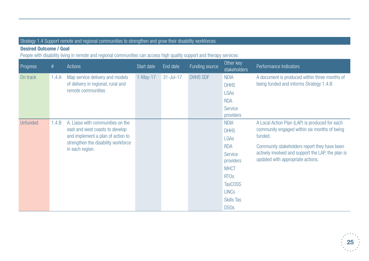## Strategy 1.4 Support remote and regional communities to strengthen and grow their disability workforces

### **Desired Outcome / Goal**

People with disability living in remote and regional communities can access high quality support and therapy services.

| <b>Progress</b> | #     | <b>Actions</b>                                                                                                                                                      | Start date | End date  | Funding source  | Other key<br><b>stakeholders</b> | Performance Indicators                                                                   |
|-----------------|-------|---------------------------------------------------------------------------------------------------------------------------------------------------------------------|------------|-----------|-----------------|----------------------------------|------------------------------------------------------------------------------------------|
| On track        | 1.4.A | Map service delivery and models<br>of delivery in regional, rural and<br>remote communities                                                                         | $1-May-17$ | 31-Jul-17 | <b>DHHS SDF</b> | <b>NDIA</b><br><b>DHHS</b>       | A document is produced within three months of<br>being funded and informs Strategy 1.4.B |
|                 |       |                                                                                                                                                                     |            |           |                 | LGAs                             |                                                                                          |
|                 |       |                                                                                                                                                                     |            |           |                 | <b>RDA</b>                       |                                                                                          |
|                 |       |                                                                                                                                                                     |            |           |                 | <b>Service</b>                   |                                                                                          |
|                 |       |                                                                                                                                                                     |            |           |                 | providers                        |                                                                                          |
| <b>Unfunded</b> | 1.4.B | A. Liaise with communities on the<br>east and west coasts to develop<br>and implement a plan of action to<br>strengthen the disability workforce<br>in each region. |            |           |                 | <b>NDIA</b>                      | A Local Action Plan (LAP) is produced for each                                           |
|                 |       |                                                                                                                                                                     |            |           |                 | <b>DHHS</b>                      | community engaged within six months of being                                             |
|                 |       |                                                                                                                                                                     |            |           |                 | LGAs                             | funded.                                                                                  |
|                 |       |                                                                                                                                                                     |            |           |                 | <b>RDA</b>                       | Community stakeholders report they have been                                             |
|                 |       |                                                                                                                                                                     |            |           |                 | Service<br>providers             | actively involved and support the LAP, the plan is<br>updated with appropriate actions.  |
|                 |       |                                                                                                                                                                     |            |           |                 | <b>MHCT</b>                      |                                                                                          |
|                 |       |                                                                                                                                                                     |            |           |                 | <b>RTO<sub>s</sub></b>           |                                                                                          |
|                 |       |                                                                                                                                                                     |            |           |                 | <b>TasCOSS</b>                   |                                                                                          |
|                 |       |                                                                                                                                                                     |            |           |                 | <b>LINCs</b>                     |                                                                                          |
|                 |       |                                                                                                                                                                     |            |           |                 | <b>Skills Tas</b>                |                                                                                          |
|                 |       |                                                                                                                                                                     |            |           |                 | <b>DSOs</b>                      |                                                                                          |

![](_page_24_Picture_4.jpeg)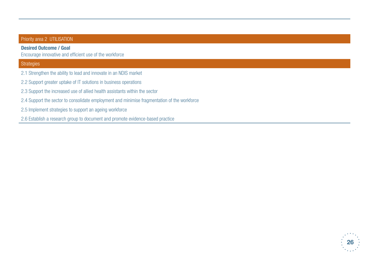### Priority area 2 UTILISATION

#### **Desired Outcome / Goal**

Encourage innovative and efficient use of the workforce

### **Strategies**

- 2.1 Strengthen the ability to lead and innovate in an NDIS market
- 2.2 Support greater uptake of IT solutions in business operations
- 2.3 Support the increased use of allied health assistants within the sector
- 2.4 Support the sector to consolidate employment and minimise fragmentation of the workforce
- 2.5 Implement strategies to support an ageing workforce
- 2.6 Establish a research group to document and promote evidence-based practice

![](_page_25_Picture_10.jpeg)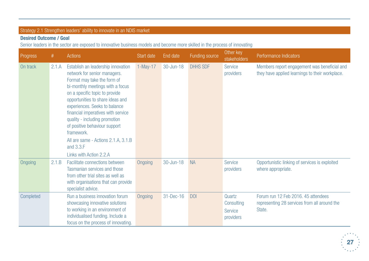## Strategy 2.1 Strengthen leaders' ability to innovate in an NDIS market

## **Desired Outcome / Goal**

Senior leaders in the sector are exposed to innovative business models and become more skilled in the process of innovating

| Progress  | #     | Actions                                                                                                                                                                                                                                                                                                                                                                                                                                           | Start date | End date      | Funding source  | Other key<br>stakeholders                           | Performance Indicators                                                                          |
|-----------|-------|---------------------------------------------------------------------------------------------------------------------------------------------------------------------------------------------------------------------------------------------------------------------------------------------------------------------------------------------------------------------------------------------------------------------------------------------------|------------|---------------|-----------------|-----------------------------------------------------|-------------------------------------------------------------------------------------------------|
| On track  | 2.1.A | Establish an leadership innovation<br>network for senior managers.<br>Format may take the form of<br>bi-monthly meetings with a focus<br>on a specific topic to provide<br>opportunities to share ideas and<br>experiences. Seeks to balance<br>financial imperatives with service<br>quality - including promotion<br>of positive behaviour support<br>framework.<br>All are same - Actions 2.1.A, 3.1.B<br>and 3.3.F<br>Links with Action 2.2.A | $1-May-17$ | 30-Jun-18     | <b>DHHS SDF</b> | <b>Service</b><br>providers                         | Members report engagement was beneficial and<br>they have applied learnings to their workplace. |
| Ongoing   | 2.1.B | Facilitate connections between<br>Tasmanian services and those<br>from other trial sites as well as<br>with organisations that can provide<br>specialist advice.                                                                                                                                                                                                                                                                                  | Ongoing    | $30 - Jun-18$ | <b>NA</b>       | <b>Service</b><br>providers                         | Opportunistic linking of services is exploited<br>where appropriate.                            |
| Completed |       | Run a business innovation forum<br>showcasing innovative solutions<br>to working in an environment of<br>individualised funding. Include a<br>focus on the process of innovating.                                                                                                                                                                                                                                                                 | Ongoing    | 31-Dec-16     | <b>DOI</b>      | Quartz<br>Consulting<br><b>Service</b><br>providers | Forum run 12 Feb 2016. 45 attendees<br>representing 28 services from all around the<br>State.   |

![](_page_26_Picture_4.jpeg)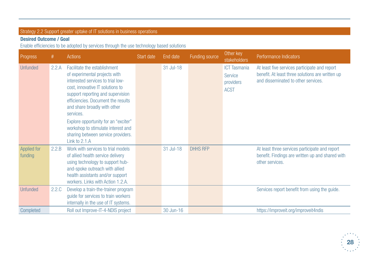## Strategy 2.2 Support greater uptake of IT solutions in business operations

## **Desired Outcome / Goal**

Enable efficiencies to be adopted by services through the use technology based solutions

| Progress                      | $\#$  | <b>Actions</b>                                                                                                                                                                                                                                                                                                                                                                                      | Start date | End date  | Funding source  | Other key<br><b>stakeholders</b>                           | Performance Indicators                                                                                                                   |
|-------------------------------|-------|-----------------------------------------------------------------------------------------------------------------------------------------------------------------------------------------------------------------------------------------------------------------------------------------------------------------------------------------------------------------------------------------------------|------------|-----------|-----------------|------------------------------------------------------------|------------------------------------------------------------------------------------------------------------------------------------------|
| <b>Unfunded</b>               | 2.2.A | Facilitate the establishment<br>of experimental projects with<br>interested services to trial low-<br>cost, innovative IT solutions to<br>support reporting and supervision<br>efficiencies. Document the results<br>and share broadly with other<br>services.<br>Explore opportunity for an "exciter"<br>workshop to stimulate interest and<br>sharing between service providers.<br>Link to 2.1.A |            | 31 Jul-18 |                 | <b>ICT Tasmania</b><br>Service<br>providers<br><b>ACST</b> | At least five services participate and report<br>benefit. At least three solutions are written up<br>and disseminated to other services. |
| <b>Applied for</b><br>funding | 2.2.B | Work with services to trial models<br>of allied health service delivery<br>using technology to support hub-<br>and-spoke outreach with allied<br>health assistants and/or support<br>workers. Links with Action 1.2.A.                                                                                                                                                                              |            | 31 Jul-18 | <b>DHHS RFP</b> |                                                            | At least three services participate and report<br>benefit. Findings are written up and shared with<br>other services.                    |
| <b>Unfunded</b>               | 2.2.C | Develop a train-the-trainer program<br>guide for services to train workers<br>internally in the use of IT systems.                                                                                                                                                                                                                                                                                  |            |           |                 |                                                            | Services report benefit from using the guide.                                                                                            |
| Completed                     |       | Roll out Improve-IT-4-NDIS project                                                                                                                                                                                                                                                                                                                                                                  |            | 30 Jun-16 |                 |                                                            | https://improveit.org/improveit4ndis                                                                                                     |

![](_page_27_Picture_4.jpeg)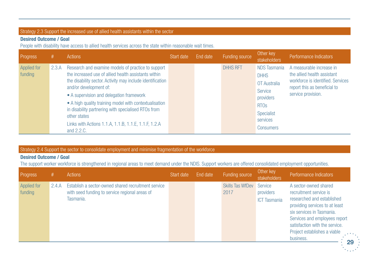### Strategy 2.3 Support the increased use of allied health assistants within the sector

### **Desired Outcome / Goal**

People with disability have access to allied health services across the state within reasonable wait times.

| <b>Progress</b>        |       | Actions                                                                                                                                                                                                                                                                                                                                                                                                                                               | Start date | End date | Funding source  | Other key<br>stakeholders                                                                                                               | Performance Indicators                                                                                                                             |
|------------------------|-------|-------------------------------------------------------------------------------------------------------------------------------------------------------------------------------------------------------------------------------------------------------------------------------------------------------------------------------------------------------------------------------------------------------------------------------------------------------|------------|----------|-----------------|-----------------------------------------------------------------------------------------------------------------------------------------|----------------------------------------------------------------------------------------------------------------------------------------------------|
| Applied for<br>funding | 2.3.A | Research and examine models of practice to support<br>the increased use of allied health assistants within<br>the disability sector. Activity may include identification<br>and/or development of:<br>• A supervision and delegation framework<br>• A high quality training model with contextualisation<br>in disability partnering with specialised RTOs from<br>other states<br>Links with Actions 1.1.A, 1.1.B, 1.1.E, 1.1.F, 1.2.A<br>and 2.2.C. |            |          | <b>DHHS RFT</b> | <b>NDS Tasmania</b><br><b>DHHS</b><br>OT Australia<br>Service<br>providers<br><b>RTOS</b><br>Specialist<br>services<br><b>Consumers</b> | A measurable increase in<br>the allied health assistant<br>workforce is identified. Services<br>report this as beneficial to<br>service provision. |

Strategy 2.4 Support the sector to consolidate employment and minimise fragmentation of the workforce

### **Desired Outcome / Goal**

The support worker workforce is strengthened in regional areas to meet demand under the NDIS. Support workers are offered consolidated employment opportunities.

| Progress               |       | Actions                                                                                                            | Start date | End date | Funding source                          | Other key<br>stakeholders        | Performance Indicators                                                                                                                                                                                                                                                                |
|------------------------|-------|--------------------------------------------------------------------------------------------------------------------|------------|----------|-----------------------------------------|----------------------------------|---------------------------------------------------------------------------------------------------------------------------------------------------------------------------------------------------------------------------------------------------------------------------------------|
| Applied for<br>funding | 2.4.A | Establish a sector-owned shared recruitment service<br>with seed funding to service regional areas of<br>Tasmania. |            |          | <b>Skills Tas WfDev Service</b><br>2017 | providers<br><b>ICT Tasmania</b> | A sector-owned shared<br>recruitment service is<br>researched and established<br>providing services to at least<br>six services in Tasmania.<br>Services and employees report<br>satisfaction with the service.<br>Project establishes a viable<br>$\sim$ 10 $\pm$<br>business.<br>29 |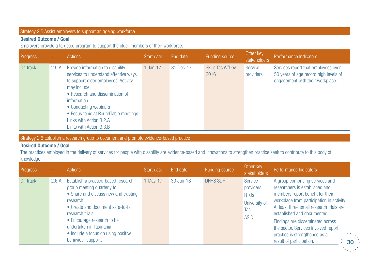### Strategy 2.5 Assist employers to support an ageing workforce

### **Desired Outcome / Goal**

Employers provide a targeted program to support the older members of their workforce.

| Progress | #7    | Actions                                                                                                                                                                                                                                                                                                     | Start date | End date  | Funding source                  | Other key<br>stakeholders | Performance Indicators                                                                                           |
|----------|-------|-------------------------------------------------------------------------------------------------------------------------------------------------------------------------------------------------------------------------------------------------------------------------------------------------------------|------------|-----------|---------------------------------|---------------------------|------------------------------------------------------------------------------------------------------------------|
| On track | 2.5.A | Provide information to disability<br>services to understand effective ways<br>to support older employees. Activity<br>may include:<br>• Research and dissemination of<br>information<br>• Conducting webinars<br>• Focus topic at RoundTable meetings<br>Links with Action 3.2.A<br>Links with Action 3.3.B | 1 Jan-17   | 31 Dec-17 | <b>Skills Tas WfDev</b><br>2016 | Service<br>providers      | Services report that employees over<br>50 years of age record high levels of<br>engagement with their workplace. |

Strategy 2.6 Establish a research group to document and promote evidence-based practice

### **Desired Outcome / Goal**

The practices employed in the delivery of services for people with disability are evidence-based and innovations to strengthen practice seek to contribute to this body of knowledge.

| <b>Progress</b> | #     | <b>Actions</b>                                                                                                                                                                                                                                                                                       | Start date | End date  | Funding source  | Other key<br>stakeholders                                                  | Performance Indicators                                                                                                                                                                                                                                                                                                                                                                                     |
|-----------------|-------|------------------------------------------------------------------------------------------------------------------------------------------------------------------------------------------------------------------------------------------------------------------------------------------------------|------------|-----------|-----------------|----------------------------------------------------------------------------|------------------------------------------------------------------------------------------------------------------------------------------------------------------------------------------------------------------------------------------------------------------------------------------------------------------------------------------------------------------------------------------------------------|
| On track        | 2.6.A | Establish a practice-based research<br>group meeting quarterly to:<br>• Share and discuss new and existing<br>research<br>• Create and document safe-to-fail<br>research trials<br>• Encourage research to be<br>undertaken in Tasmania<br>• Include a focus on using positive<br>behaviour supports | 1 May-17   | 30 Jun-18 | <b>DHHS SDF</b> | Service<br>providers<br><b>RTOS</b><br>University of<br>Tas<br><b>ASID</b> | A group comprising services and<br>researchers is established and<br>members report benefit for their<br>workplace from participation in activity.<br>At least three small research trials are<br>established and documented.<br>Findings are disseminated across<br>the sector. Services involved report<br>practice is strengthened as a<br>$\mathcal{L}^{\text{max}}$<br>result of participation.<br>30 |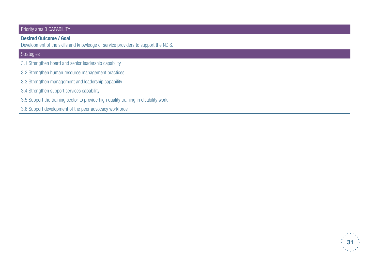#### Priority area 3 CAPABILITY

#### **Desired Outcome / Goal**

Development of the skills and knowledge of service providers to support the NDIS.

### **Strategies**

- 3.1 Strengthen board and senior leadership capability
- 3.2 Strengthen human resource management practices
- 3.3 Strengthen management and leadership capability
- 3.4 Strengthen support services capability
- 3.5 Support the training sector to provide high quality training in disability work
- 3.6 Support development of the peer advocacy workforce

![](_page_30_Picture_10.jpeg)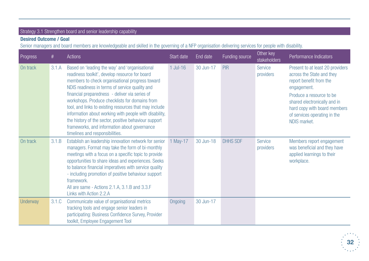## Strategy 3.1 Strengthen board and senior leadership capability

## **Desired Outcome / Goal**

Senior managers and board members are knowledgeable and skilled in the governing of a NFP organisation delivering services for people with disability.

| Progress        | #     | <b>Actions</b>                                                                                                                                                                                                                                                                                                                                                                                                                                                                                                                                                            | Start date    | End date  | Funding source  | Other key<br>stakeholders   | Performance Indicators                                                                                                                                                                                                                              |
|-----------------|-------|---------------------------------------------------------------------------------------------------------------------------------------------------------------------------------------------------------------------------------------------------------------------------------------------------------------------------------------------------------------------------------------------------------------------------------------------------------------------------------------------------------------------------------------------------------------------------|---------------|-----------|-----------------|-----------------------------|-----------------------------------------------------------------------------------------------------------------------------------------------------------------------------------------------------------------------------------------------------|
| On track        | 3.1.A | Based on 'leading the way' and 'organisational<br>readiness toolkit', develop resource for board<br>members to check organisational progress toward<br>NDIS readiness in terms of service quality and<br>financial preparedness - deliver via series of<br>workshops. Produce checklists for domains from<br>tool, and links to existing resources that may include<br>information about working with people with disability,<br>the history of the sector, positive behaviour support<br>frameworks, and information about governance<br>timelines and responsibilities. | $1$ Jul- $16$ | 30 Jun-17 | PIR             | <b>Service</b><br>providers | Present to at least 20 providers<br>across the State and they<br>report benefit from the<br>engagement.<br>Produce a resource to be<br>shared electronically and in<br>hard copy with board members<br>of services operating in the<br>NDIS market. |
| On track        | 3.1.B | Establish an leadership innovation network for senior<br>managers. Format may take the form of bi-monthly<br>meetings with a focus on a specific topic to provide<br>opportunities to share ideas and experiences. Seeks<br>to balance financial imperatives with service quality<br>- including promotion of positive behaviour support<br>framework.<br>All are same - Actions 2.1.A, 3.1.B and 3.3.F<br>Links with Action 2.2.A                                                                                                                                        | 1 May-17      | 30 Jun-18 | <b>DHHS SDF</b> | <b>Service</b><br>providers | Members report engagement<br>was beneficial and they have<br>applied learnings to their<br>workplace.                                                                                                                                               |
| <b>Underway</b> | 3.1.C | Communicate value of organisational metrics<br>tracking tools and engage senior leaders in<br>participating: Business Confidence Survey, Provider<br>toolkit, Employee Engagement Tool                                                                                                                                                                                                                                                                                                                                                                                    | Ongoing       | 30 Jun-17 |                 |                             |                                                                                                                                                                                                                                                     |

![](_page_31_Picture_4.jpeg)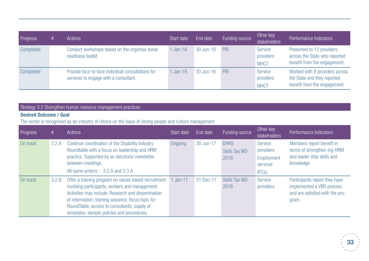| Progress  | # | Actions                                                                                    | Start date | End date  | Funding source | Other key<br>stakeholders           | Performance Indicators                                                                        |
|-----------|---|--------------------------------------------------------------------------------------------|------------|-----------|----------------|-------------------------------------|-----------------------------------------------------------------------------------------------|
| Completed |   | Conduct workshops based on the organisa-tional<br>readiness toolkit.                       | $Jan-16$   | 30 Jun-16 | <b>PIR</b>     | Service<br>providers<br><b>MHCT</b> | Presented to 12 providers<br>across the State who reported<br>benefit from the engagement.    |
| Completed |   | Provide face-to-face individual consultations for<br>services to engage with a consultant. | $Jan-16$   | 30 Jun-16 | PIR            | Service<br>providers<br><b>MHCT</b> | Worked with 8 providers across<br>the State and they reported<br>benefit from the engagement. |

## Strategy 3.2 Strengthen human resource management practices

### **Desired Outcome / Goal**

The sector is recognised as an industry of choice on the basis of strong people and culture management

| Progress | #     | Actions                                                                                                                                                                                                                                                                                                           | Start date | End date  | Funding source                              | Other key<br>stakeholders                                                | Performance Indicators                                                                                 |
|----------|-------|-------------------------------------------------------------------------------------------------------------------------------------------------------------------------------------------------------------------------------------------------------------------------------------------------------------------|------------|-----------|---------------------------------------------|--------------------------------------------------------------------------|--------------------------------------------------------------------------------------------------------|
| On track | 3.2.A | Continue coordination of the Disability Industry<br>Roundtable with a focus on leadership and HRM<br>practice. Supported by an electronic newsletter<br>between meetings.<br>All same actions - 3.2.A and 3.3.A                                                                                                   | Ongoing    | 30 Jun-17 | <b>DHHS</b><br><b>Skills Tas WD</b><br>2016 | Service<br>providers<br>Employment<br>services<br><b>RTO<sub>s</sub></b> | Members report benefit in<br>terms of strengthen-ing HRM<br>and leader-ship skills and<br>knowledge    |
| On track | 3.2.B | Offer a training program on values based recruitment<br>involving participants, workers and management.<br>Activities may include: Research and dissemination<br>of information; training sessions; focus topic for<br>RoundTable; access to consultants; supply of<br>templates, sample policies and procedures. | 1 Jan-17   | 31 Dec-17 | Skills Tas WD<br>2016                       | Service<br>providers                                                     | Participants report they have<br>implemented a VBR process<br>and are satisfied with the pro-<br>gram. |

![](_page_32_Picture_5.jpeg)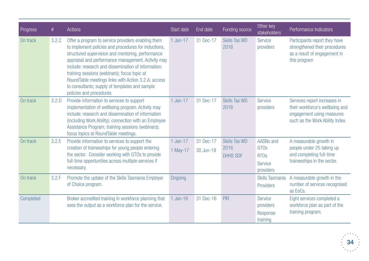| Progress  | $\#$  | <b>Actions</b>                                                                                                                                                                                                                                                                                                                                                                                                                                                    | Start date           | End date               | Funding source                                  | Other key<br><b>stakeholders</b>                                              | Performance Indicators                                                                                                          |
|-----------|-------|-------------------------------------------------------------------------------------------------------------------------------------------------------------------------------------------------------------------------------------------------------------------------------------------------------------------------------------------------------------------------------------------------------------------------------------------------------------------|----------------------|------------------------|-------------------------------------------------|-------------------------------------------------------------------------------|---------------------------------------------------------------------------------------------------------------------------------|
| On track  | 3.2.C | Offer a program to service providers enabling them<br>to implement policies and procedures for inductions,<br>structured supervision and mentoring, performance<br>appraisal and performance management. Activity may<br>include: research and dissemination of information;<br>training sessions (webinars); focus topic at<br>RoundTable meetings links with Action 3.2.A; access<br>to consultants; supply of templates and sample<br>policies and procedures. | 1 Jan-17             | 31 Dec-17              | <b>Skills Tas WD</b><br>2016                    | <b>Service</b><br>providers                                                   | Participants report they have<br>strengthened their procedures<br>as a result of engagement in<br>this program                  |
| On track  | 3.2.D | Provide information to services to support<br>implementation of wellbeing program. Activity may<br>include: research and dissemination of information<br>(including Work Ability); connection with an Employee<br>Assistance Program; training sessions (webinars);<br>focus topics at RoundTable meetings.                                                                                                                                                       | 1 Jan-17             | 31 Dec-17              | <b>Skills Tas WD</b><br>2016                    | <b>Service</b><br>providers                                                   | Services report increases in<br>their workforce's wellbeing and<br>engagement using measures<br>such as the Work Ability Index. |
| On track  | 3.2.E | Provide information to services to support the<br>creation of traineeships for young people entering<br>the sector. Consider working with GTOs to provide<br>full-time opportunities across multiple services if<br>necessary.                                                                                                                                                                                                                                    | 1 Jan-17<br>1 May-17 | 31 Dec-17<br>30 Jun-18 | <b>Skills Tas WD</b><br>2016<br><b>DHHS SDF</b> | <b>AASNs and</b><br><b>GTOs</b><br><b>RTOs</b><br><b>Service</b><br>providers | A measurable growth in<br>people under 25 taking up<br>and completing full-time<br>traineeships in the sector.                  |
| On track  | 3.2.F | Promote the uptake of the Skills Tasmania Employer<br>of Choice program.                                                                                                                                                                                                                                                                                                                                                                                          | Ongoing              |                        |                                                 | Skills Tasmania<br>Providers                                                  | A measurable growth in the<br>number of services recognised<br>as EoCs.                                                         |
| Completed |       | Broker accredited training in workforce planning that<br>sees the output as a workforce plan for the service.                                                                                                                                                                                                                                                                                                                                                     | 1 Jan-16             | 31 Dec-16              | <b>PIR</b>                                      | <b>Service</b><br>providers<br>Response<br>training                           | Eight services completed a<br>workforce plan as part of the<br>training program.                                                |

![](_page_33_Picture_1.jpeg)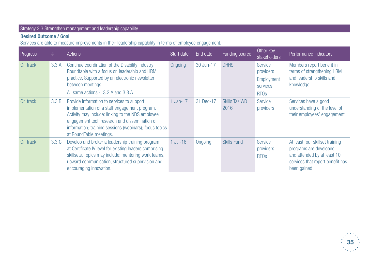## Strategy 3.3 Strengthen management and leadership capability

## **Desired Outcome / Goal**

Services are able to measure improvements in their leadership capability in terms of employee engagement.

| Progress | #     | Actions                                                                                                                                                                                                                                                                                  | Start date    | End date  | Funding source               | Other key<br>stakeholders                                                | Performance Indicators                                                                                                                       |
|----------|-------|------------------------------------------------------------------------------------------------------------------------------------------------------------------------------------------------------------------------------------------------------------------------------------------|---------------|-----------|------------------------------|--------------------------------------------------------------------------|----------------------------------------------------------------------------------------------------------------------------------------------|
| On track | 3.3.A | Continue coordination of the Disability Industry<br>Roundtable with a focus on leadership and HRM<br>practice. Supported by an electronic newsletter<br>between meetings.<br>All same actions - 3.2.A and 3.3.A                                                                          | Ongoing       | 30 Jun-17 | <b>DHHS</b>                  | Service<br>providers<br>Employment<br>services<br><b>RTO<sub>s</sub></b> | Members report benefit in<br>terms of strengthening HRM<br>and leadership skills and<br>knowledge                                            |
| On track | 3.3.B | Provide information to services to support<br>implementation of a staff engagement program.<br>Activity may include: linking to the NDS employee<br>engagement tool, research and dissemination of<br>information; training sessions (webinars); focus topics<br>at RoundTable meetings. | 1 Jan-17      | 31 Dec-17 | <b>Skills Tas WD</b><br>2016 | Service<br>providers                                                     | Services have a good<br>understanding of the level of<br>their employees' engagement.                                                        |
| On track | 3.3.C | Develop and broker a leadership training program<br>at Certificate IV level for existing leaders comprising<br>skillsets. Topics may include: mentoring work teams,<br>upward communication, structured supervision and<br>encouraging innovation.                                       | $1$ Jul- $16$ | Ongoing   | <b>Skills Fund</b>           | <b>Service</b><br>providers<br><b>RTO<sub>s</sub></b>                    | At least four skillset training<br>programs are developed<br>and attended by at least 10<br>services that report benefit has<br>been gained. |

![](_page_34_Picture_4.jpeg)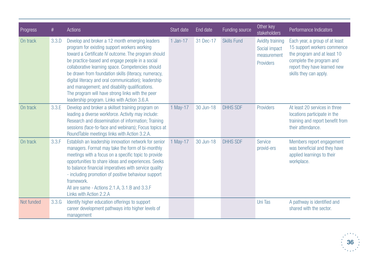| Progress   | $^{\#}$ | <b>Actions</b>                                                                                                                                                                                                                                                                                                                                                                                                                                                                                                                     | Start date | End date  | Funding source     | Other key<br>stakeholders                                     | Performance Indicators                                                                                                                                                             |
|------------|---------|------------------------------------------------------------------------------------------------------------------------------------------------------------------------------------------------------------------------------------------------------------------------------------------------------------------------------------------------------------------------------------------------------------------------------------------------------------------------------------------------------------------------------------|------------|-----------|--------------------|---------------------------------------------------------------|------------------------------------------------------------------------------------------------------------------------------------------------------------------------------------|
| On track   | 3.3.D   | Develop and broker a 12 month emerging leaders<br>program for existing support workers working<br>toward a Certificate IV outcome. The program should<br>be practice-based and engage people in a social<br>collaborative learning space. Competencies should<br>be drawn from foundation skills (literacy, numeracy,<br>digital literacy and oral communication); leadership<br>and management; and disability qualifications.<br>The program will have strong links with the peer<br>leadership program. Links with Action 3.6.A | 1 Jan-17   | 31 Dec-17 | <b>Skills Fund</b> | Avidity training<br>Social impact<br>measurement<br>Providers | Each year, a group of at least<br>15 support workers commence<br>the program and at least 10<br>complete the program and<br>report they have learned new<br>skills they can apply. |
| On track   | 3.3.E   | Develop and broker a skillset training program on<br>leading a diverse workforce. Activity may include:<br>Research and dissemination of information; Training<br>sessions (face-to-face and webinars); Focus topics at<br>RoundTable meetings links with Action 3.2.A.                                                                                                                                                                                                                                                            | 1 May-17   | 30 Jun-18 | <b>DHHS SDF</b>    | Providers                                                     | At least 20 services in three<br>locations participate in the<br>training and report benefit from<br>their attendance.                                                             |
| On track   | 3.3.F   | Establish an leadership innovation network for senior<br>managers. Format may take the form of bi-monthly<br>meetings with a focus on a specific topic to provide<br>opportunities to share ideas and experiences. Seeks<br>to balance financial imperatives with service quality<br>- including promotion of positive behaviour support<br>framework.<br>All are same - Actions 2.1.A, 3.1.B and 3.3.F<br>Links with Action 2.2.A                                                                                                 | 1 May-17   | 30 Jun-18 | <b>DHHS SDF</b>    | <b>Service</b><br>provid-ers                                  | Members report engagement<br>was beneficial and they have<br>applied learnings to their<br>workplace.                                                                              |
| Not funded | 3.3.G   | Identify higher education offerings to support<br>career development pathways into higher levels of<br>management                                                                                                                                                                                                                                                                                                                                                                                                                  |            |           |                    | <b>Uni Tas</b>                                                | A pathway is identified and<br>shared with the sector.                                                                                                                             |

![](_page_35_Picture_1.jpeg)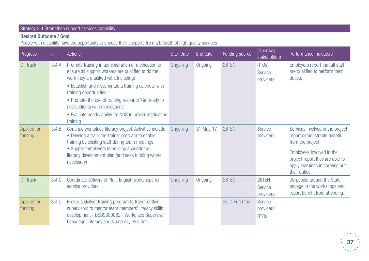## Strategy 3.4 Strengthen support services capability

## **Desired Outcome / Goal**

People with disability have the opportunity to choose their supports from a breadth of high quality services

| Progress                      | #     | <b>Actions</b>                                                                                                                                                                                                                                                                                                                                                                                         | Start date | End date  | Funding source         | Other key<br>stakeholders                             | Performance Indicators                                                                                                                                                                                   |
|-------------------------------|-------|--------------------------------------------------------------------------------------------------------------------------------------------------------------------------------------------------------------------------------------------------------------------------------------------------------------------------------------------------------------------------------------------------------|------------|-----------|------------------------|-------------------------------------------------------|----------------------------------------------------------------------------------------------------------------------------------------------------------------------------------------------------------|
| On track                      | 3.4.A | Promote training in administration of medication to<br>ensure all support workers are qualified to do the<br>work they are tasked with. Including:<br>• Establish and disseminate a training calendar with<br>training opportunities<br>• Promote the use of training resource 'Get ready to<br>assist clients with medications'<br>• Evaluate need/viability for NDS to broker medication<br>training | Ongo-ing   | Ongoing   | 26TEN                  | <b>RTO<sub>s</sub></b><br><b>Service</b><br>providers | Employers report that all staff<br>are qualified to perform their<br>duties.                                                                                                                             |
| <b>Applied for</b><br>funding | 3.4.B | Continue workplace literacy project. Activities include:<br>• Develop a train-the-trainer program to enable<br>training by existing staff during team meetings<br>• Support employers to develop a workforce<br>literacy development plan (and seek funding where<br>necessary)                                                                                                                        | Ongo-ing   | 31 May-17 | 26TEN                  | <b>Service</b><br>providers                           | Services involved in the project<br>report demonstrable benefit<br>from the project.<br>Employees involved in the<br>project report they are able to<br>apply learnings in carrying out<br>their duties. |
| On track                      | 3.4.C | Coordinate delivery of Plain English workshops for<br>service providers                                                                                                                                                                                                                                                                                                                                | Ongo-ing   | Ongoing   | 26TEN                  | 26TEN<br><b>Service</b><br>providers                  | 30 people around the State<br>engage in the workshops and<br>report benefit from attending.                                                                                                              |
| <b>Applied for</b><br>funding | 3.4.D | Broker a skillset training program to train frontline<br>supervisors to mentor team members' literacy skills<br>development - BSBSS00062 - Workplace Supervisor<br>Language, Literacy and Numeracy Skill Set                                                                                                                                                                                           |            |           | <b>Skills Fund tbc</b> | Service<br>providers<br><b>RTOs</b>                   |                                                                                                                                                                                                          |

![](_page_36_Picture_4.jpeg)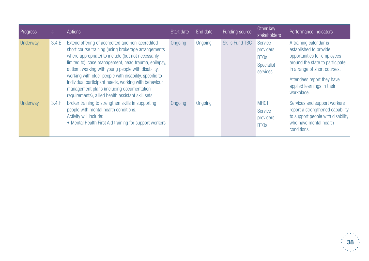| Progress | #     | Actions                                                                                                                                                                                                                                                                                                                                                                                                                                                                                          | Start date | End date | Funding source         | Other key<br>stakeholders                                                | Performance Indicators                                                                                                                                                                                                       |
|----------|-------|--------------------------------------------------------------------------------------------------------------------------------------------------------------------------------------------------------------------------------------------------------------------------------------------------------------------------------------------------------------------------------------------------------------------------------------------------------------------------------------------------|------------|----------|------------------------|--------------------------------------------------------------------------|------------------------------------------------------------------------------------------------------------------------------------------------------------------------------------------------------------------------------|
| Underway | 3.4.E | Extend offering of accredited and non-accredited<br>short course training (using brokerage arrangements<br>where appropriate) to include (but not necessarily<br>limited to): case management, head trauma, epilepsy,<br>autism, working with young people with disability,<br>working with older people with disability, specific to<br>individual participant needs, working with behaviour<br>management plans (including documentation<br>requirements), allied health assistant skill sets. | Ongoing    | Ongoing  | <b>Skills Fund TBC</b> | Service<br>providers<br><b>RTO<sub>s</sub></b><br>Specialist<br>services | A training calendar is<br>established to provide<br>opportunities for employees<br>around the state to participate<br>in a range of short courses.<br>Attendees report they have<br>applied learnings in their<br>workplace. |
| Underway | 3.4.F | Broker training to strengthen skills in supporting<br>people with mental health conditions.<br>Activity will include:<br>• Mental Health First Aid training for support workers                                                                                                                                                                                                                                                                                                                  | Ongoing    | Ongoing  |                        | <b>MHCT</b><br>Service<br>providers<br><b>RTO<sub>s</sub></b>            | Services and support workers<br>report a strengthened capability<br>to support people with disability<br>who have mental health<br>conditions.                                                                               |

![](_page_37_Picture_1.jpeg)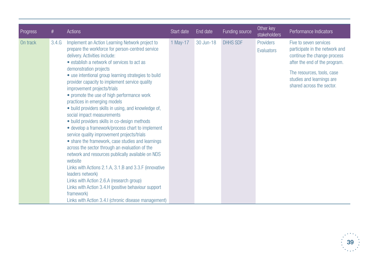| <b>Progress</b> | $^{\#}$ | <b>Actions</b>                                                                                                                                                                                                                                                                                                                                                                                                                                                                                                                                                                                                                                                                                                                                                | Start date | End date  | Funding source  | Other key<br>stakeholders | Performance Indicators                                                                                                   |
|-----------------|---------|---------------------------------------------------------------------------------------------------------------------------------------------------------------------------------------------------------------------------------------------------------------------------------------------------------------------------------------------------------------------------------------------------------------------------------------------------------------------------------------------------------------------------------------------------------------------------------------------------------------------------------------------------------------------------------------------------------------------------------------------------------------|------------|-----------|-----------------|---------------------------|--------------------------------------------------------------------------------------------------------------------------|
| On track        | 3.4.G   | Implement an Action Learning Network project to<br>prepare the workforce for person-centred service<br>delivery. Activities include:<br>• establish a network of services to act as<br>demonstration projects                                                                                                                                                                                                                                                                                                                                                                                                                                                                                                                                                 | 1 May-17   | 30 Jun-18 | <b>DHHS SDF</b> | Providers<br>Evaluators   | Five to seven services<br>participate in the network and<br>continue the change process<br>after the end of the program. |
|                 |         | • use intentional group learning strategies to build<br>provider capacity to implement service quality<br>improvement projects/trials<br>• promote the use of high performance work<br>practices in emerging models<br>• build providers skills in using, and knowledge of,<br>social impact measurements<br>• build providers skills in co-design methods<br>• develop a framework/process chart to implement<br>service quality improvement projects/trials<br>• share the framework, case studies and learnings<br>across the sector through an evaluation of the<br>network and resources publically available on NDS<br>website<br>Links with Actions 2.1.A, 3.1.B and 3.3.F (innovative<br>leaders network)<br>Links with Action 2.6.A (research group) |            |           |                 |                           | The resources, tools, case<br>studies and learnings are<br>shared across the sector.                                     |
|                 |         | Links with Action 3.4.H (positive behaviour support<br>framework)<br>Links with Action 3.4.I (chronic disease management)                                                                                                                                                                                                                                                                                                                                                                                                                                                                                                                                                                                                                                     |            |           |                 |                           |                                                                                                                          |

![](_page_38_Picture_1.jpeg)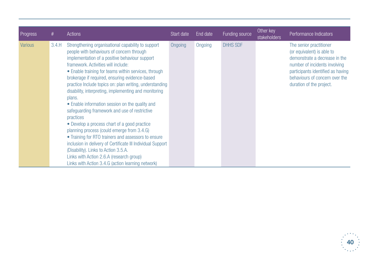| Progress       | #     | <b>Actions</b>                                                                                                                                                                                                                                                                                                                                                                                                                                                                                                                                                                                                                                                                                                                                                                                                                                                                                                 | Start date | End date | Funding source  | Other key<br><b>stakeholders</b> | Performance Indicators                                                                                                                                                                                                     |
|----------------|-------|----------------------------------------------------------------------------------------------------------------------------------------------------------------------------------------------------------------------------------------------------------------------------------------------------------------------------------------------------------------------------------------------------------------------------------------------------------------------------------------------------------------------------------------------------------------------------------------------------------------------------------------------------------------------------------------------------------------------------------------------------------------------------------------------------------------------------------------------------------------------------------------------------------------|------------|----------|-----------------|----------------------------------|----------------------------------------------------------------------------------------------------------------------------------------------------------------------------------------------------------------------------|
| <b>Various</b> | 3.4.H | Strengthening organisational capability to support<br>people with behaviours of concern through<br>implementation of a positive behaviour support<br>framework. Activities will include:<br>• Enable training for teams within services, through<br>brokerage if required, ensuring evidence-based<br>practice Include topics on: plan writing, understanding<br>disability, interpreting, implementing and monitoring<br>plans.<br>• Enable information session on the quality and<br>safeguarding framework and use of restrictive<br>practices<br>• Develop a process chart of a good practice<br>planning process (could emerge from 3.4.G)<br>• Training for RTO trainers and assessors to ensure<br>inclusion in delivery of Certificate III Individual Support<br>(Disability). Links to Action 3.5.A.<br>Links with Action 2.6.A (research group)<br>Links with Action 3.4.G (action learning network) | Ongoing    | Ongoing  | <b>DHHS SDF</b> |                                  | The senior practitioner<br>(or equivalent) is able to<br>demonstrate a decrease in the<br>number of incidents involving<br>participants identified as having<br>behaviours of concern over the<br>duration of the project. |

![](_page_39_Picture_1.jpeg)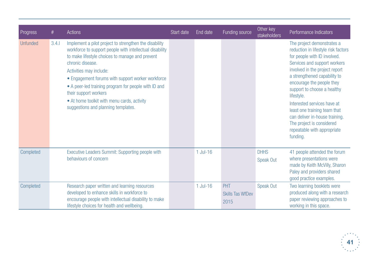| Progress        | #     | <b>Actions</b>                                                                                                                                                                                                                                                                                                                                                                                                                                   | Start date | End date | Funding source                         | Other key<br>stakeholders | Performance Indicators                                                                                                                                                                                                                                                                                                                                                                                                                                 |
|-----------------|-------|--------------------------------------------------------------------------------------------------------------------------------------------------------------------------------------------------------------------------------------------------------------------------------------------------------------------------------------------------------------------------------------------------------------------------------------------------|------------|----------|----------------------------------------|---------------------------|--------------------------------------------------------------------------------------------------------------------------------------------------------------------------------------------------------------------------------------------------------------------------------------------------------------------------------------------------------------------------------------------------------------------------------------------------------|
| <b>Unfunded</b> | 3.4.1 | Implement a pilot project to strengthen the disability<br>workforce to support people with intellectual disability<br>to make lifestyle choices to manage and prevent<br>chronic disease.<br>Activities may include:<br>• Engagement forums with support worker workforce<br>• A peer-led training program for people with ID and<br>their support workers<br>• At home toolkit with menu cards, activity<br>suggestions and planning templates. |            |          |                                        |                           | The project demonstrates a<br>reduction in lifestyle risk factors<br>for people with ID involved.<br>Services and support workers<br>involved in the project report<br>a strengthened capability to<br>encourage the people they<br>support to choose a healthy<br>lifestyle.<br>Interested services have at<br>least one training team that<br>can deliver in-house training.<br>The project is considered<br>repeatable with appropriate<br>funding. |
| Completed       |       | Executive Leaders Summit: Supporting people with<br>behaviours of concern                                                                                                                                                                                                                                                                                                                                                                        |            | 1 Jul-16 |                                        | <b>DHHS</b><br>Speak Out  | 41 people attended the forum<br>where presentations were<br>made by Keith McVilly, Sharon<br>Paley and providers shared<br>good practice examples.                                                                                                                                                                                                                                                                                                     |
| Completed       |       | Research paper written and learning resources<br>developed to enhance skills in workforce to<br>encourage people with intellectual disability to make<br>lifestyle choices for health and wellbeing.                                                                                                                                                                                                                                             |            | 1 Jul-16 | PHT<br><b>Skills Tas WfDev</b><br>2015 | Speak Out                 | Two learning booklets were<br>produced along with a research<br>paper reviewing approaches to<br>working in this space.                                                                                                                                                                                                                                                                                                                                |

![](_page_40_Picture_1.jpeg)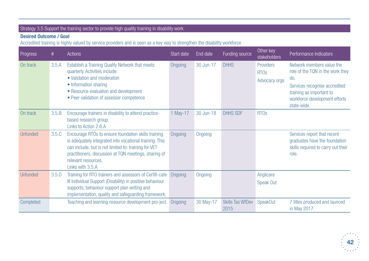## Strategy 3.5 Support the training sector to provide high quality training in disability work

## **Desired Outcome / Goal**

Accredited training is highly valued by service providers and is seen as a key way to strengthen the disability workforce

| Progress        | #     | <b>Actions</b>                                                                                                                                                                                                                                                             | Start date | End date  | Funding source                  | Other key<br>stakeholders                            | Performance Indicators                                                                                                                                                            |
|-----------------|-------|----------------------------------------------------------------------------------------------------------------------------------------------------------------------------------------------------------------------------------------------------------------------------|------------|-----------|---------------------------------|------------------------------------------------------|-----------------------------------------------------------------------------------------------------------------------------------------------------------------------------------|
| On track        | 3.5.A | Establish a Training Quality Network that meets<br>quarterly. Activities include:<br>• Validation and moderation<br>• Information sharing<br>• Resource evaluation and development<br>• Peer validation of assessor competence                                             | Ongoing    | 30 Jun-17 | <b>DHHS</b>                     | Providers<br><b>RTO<sub>s</sub></b><br>Advocacy orgs | Network members value the<br>role of the TQN in the work they<br>do.<br>Services recognise accredited<br>training as important to<br>workforce development efforts<br>state-wide. |
| On track        | 3.5.B | Encourage trainers in disability to attend practice-<br>based research group.<br>Links to Action 2.6.A                                                                                                                                                                     | 1 May-17   | 30 Jun-18 | <b>DHHS SDF</b>                 | <b>RTO<sub>s</sub></b>                               |                                                                                                                                                                                   |
| <b>Unfunded</b> | 3.5.C | Encourage RTOs to ensure foundation skills training<br>is adequately integrated into vocational training. This<br>can include, but is not limited to: training for VET<br>practitioners, discussion at TQN meetings, sharing of<br>relevant resources.<br>Links with 3.5.A | Ongoing    | Ongoing   |                                 |                                                      | Services report that recent<br>graduates have the foundation<br>skills required to carry out their<br>role.                                                                       |
| <b>Unfunded</b> | 3.5.D | Training for RTO trainers and assessors of Certifi-cate<br>III Individual Support (Disability) in positive behaviour<br>supports, behaviour support plan writing and<br>implementation, quality and safeguarding framework.                                                | Ongoing    | Ongoing   |                                 | Anglicare<br>Speak Out                               |                                                                                                                                                                                   |
| Completed       |       | Teaching and learning resource development pro-ject.                                                                                                                                                                                                                       | Ongoing    | 30 May-17 | <b>Skills Tas WfDev</b><br>2015 | <b>SpeakOut</b>                                      | 7 titles produced and launced<br>in May 2017.                                                                                                                                     |

![](_page_41_Picture_4.jpeg)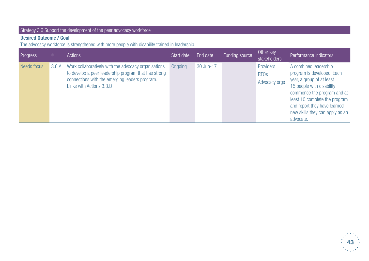## Strategy 3.6 Support the development of the peer advocacy workforce

## **Desired Outcome / Goal**

The advocacy workforce is strengthened with more people with disability trained in leadership.

| Progress    | #     | Actions                                                                                                                                                                                    | Start date | End date  | Funding source | Other key<br>stakeholders                 | Performance Indicators                                                                                                                                                                                                                                        |
|-------------|-------|--------------------------------------------------------------------------------------------------------------------------------------------------------------------------------------------|------------|-----------|----------------|-------------------------------------------|---------------------------------------------------------------------------------------------------------------------------------------------------------------------------------------------------------------------------------------------------------------|
| Needs focus | 3.6.A | Work collaboratively with the advocacy organisations<br>to develop a peer leadership program that has strong<br>connections with the emerging leaders program.<br>Links with Actions 3.3.D | Ongoing    | 30 Jun-17 |                | Providers<br><b>RTOS</b><br>Advocacy orgs | A combined leadership<br>program is developed. Each<br>year, a group of at least<br>15 people with disability<br>commence the program and at<br>least 10 complete the program<br>and report they have learned<br>new skills they can apply as an<br>advocate. |

![](_page_42_Picture_4.jpeg)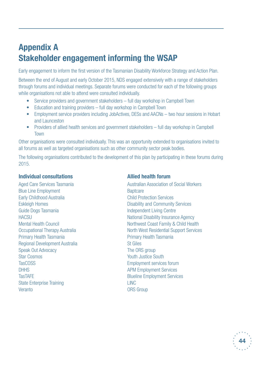## **Appendix A Stakeholder engagement informing the WSAP**

Early engagement to inform the first version of the Tasmanian Disability Workforce Strategy and Action Plan.

Between the end of August and early October 2015, NDS engaged extensively with a range of stakeholders through forums and individual meetings. Separate forums were conducted for each of the following groups while organisations not able to attend were consulted individually.

- Service providers and government stakeholders full day workshop in Campbell Town
- Education and training providers full day workshop in Campbell Town
- Employment service providers including JobActives, DESs and AACNs two hour sessions in Hobart and Launceston
- Providers of allied health services and government stakeholders full day workshop in Campbell Town

Other organisations were consulted individually. This was an opportunity extended to organisations invited to all forums as well as targeted organisations such as other community sector peak bodies.

The following organisations contributed to the development of this plan by participating in these forums during 2015.

### **Individual consultations**

Aged Care Services Tasmania Blue Line Employment Early Childhood Australia Eskleigh Homes Guide Dogs Tasmania **HACSU** Mental Health Council Occupational Therapy Australia Primary Health Tasmania Regional Development Australia Speak Out Advocacy Star Cosmos TasCOSS **DHHS TasTAFE** State Enterprise Training **Veranto** 

## **Allied health forum**

Australian Association of Social Workers **Baptcare** Child Protection Services Disability and Community Services Independent Living Centre National Disability Insurance Agency Northwest Coast Family & Child Health North West Residential Support Services Primary Health Tasmania St Giles The ORS group Youth Justice South Employment services forum APM Employment Services Blueline Employment Services LINC ORS Group

![](_page_43_Picture_13.jpeg)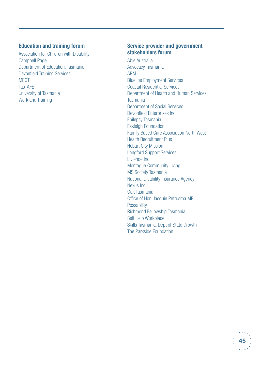## **Education and training forum**

Association for Children with Disability Campbell Page Department of Education, Tasmania Devonfield Training Services **MFGT TasTAFE** University of Tasmania Work and Training

### **Service provider and government stakeholders forum**

Able Australia Advocacy Tasmania APM Blueline Employment Services Coastal Residential Services Department of Health and Human Services, Tasmania Department of Social Services Devonfield Enterprises Inc. Epilepsy Tasmania Eskleigh Foundation Family Based Care Association North West Health Recruitment Plus Hobart City Mission Langford Support Services Liviende Inc. Montague Community Living MS Society Tasmania National Disability Insurance Agency Nexus Inc Oak Tasmania Office of Hon Jacquie Petrusma MP **Possability** Richmond Fellowship Tasmania Self Help Workplace Skills Tasmania, Dept of State Growth The Parkside Foundation

![](_page_44_Picture_4.jpeg)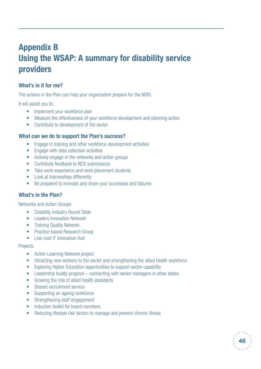## **Appendix B Using the WSAP: A summary for disability service providers**

## **What's in it for me?**

The actions in the Plan can help your organisation prepare for the NDIS.

It will assist you to:

- Implement your workforce plan
- Measure the effectiveness of your workforce development and planning action
- • Contribute to development of the sector

### **What can we do to support the Plan's success?**

- Engage in training and other workforce development activities
- Engage with data collection activities
- Actively engage in the networks and action groups
- • Contribute feedback to NDS submissions
- Take work experience and work placement students
- Look at traineeships differently
- Be prepared to innovate and share your successes and failures

## **What's in the Plan?**

Networks and Action Groups

- Disability Industry Round Table
- Leaders Innovation Network
- Training Quality Network
- Practice-based Research Group
- Low-cost IT Innovation Hub

#### **Projects**

- Action Learning Network project
- Attracting new workers to the sector and strengthening the allied health workforce
- Exploring Higher Education opportunities to support sector capability
- Leadership buddy program connecting with senior managers in other states
- Growing the role of allied health assistants
- Shared recruitment service
- Supporting an ageing workforce
- Strengthening staff engagement
- Induction toolkit for board members
- Reducing lifestyle risk factors to manage and prevent chronic illness

![](_page_45_Picture_33.jpeg)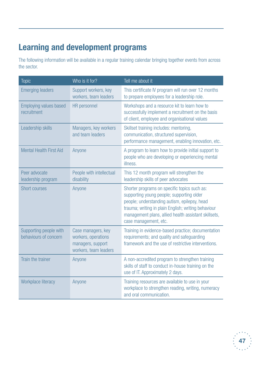## **Learning and development programs**

The following information will be available in a regular training calendar bringing together events from across the sector.

| <b>Topic</b>                                    | Who is it for?                                                                          | Tell me about it                                                                                                                                                                                                                                                                  |
|-------------------------------------------------|-----------------------------------------------------------------------------------------|-----------------------------------------------------------------------------------------------------------------------------------------------------------------------------------------------------------------------------------------------------------------------------------|
| <b>Emerging leaders</b>                         | Support workers, key<br>workers, team leaders                                           | This certificate IV program will run over 12 months<br>to prepare employees for a leadership role.                                                                                                                                                                                |
| <b>Employing values based</b><br>recruitment    | HR personnel                                                                            | Workshops and a resource kit to learn how to<br>successfully implement a recruitment on the basis<br>of client, employee and organisational values                                                                                                                                |
| Leadership skills                               | Managers, key workers<br>and team leaders                                               | Skillset training includes: mentoring,<br>communication, structured supervision,<br>performance management, enabling innovation, etc.                                                                                                                                             |
| <b>Mental Health First Aid</b>                  | Anyone                                                                                  | A program to learn how to provide initial support to<br>people who are developing or experiencing mental<br>illness.                                                                                                                                                              |
| Peer advocate<br>leadership program             | People with intellectual<br>disability                                                  | This 12 month program will strengthen the<br>leadership skills of peer advocates                                                                                                                                                                                                  |
| <b>Short courses</b>                            | Anyone                                                                                  | Shorter programs on specific topics such as:<br>supporting young people; supporting older<br>people; understanding autism, epilepsy, head<br>trauma; writing in plain English; writing behaviour<br>management plans, allied health assistant skillsets,<br>case management, etc. |
| Supporting people with<br>behaviours of concern | Case managers, key<br>workers, operations<br>managers, support<br>workers, team leaders | Training in evidence-based practice; documentation<br>requirements; and quality and safeguarding<br>framework and the use of restrictive interventions.                                                                                                                           |
| Train the trainer                               | Anyone                                                                                  | A non-accredited program to strengthen training<br>skills of staff to conduct in-house training on the<br>use of IT. Approximately 2 days.                                                                                                                                        |
| Workplace literacy                              | Anyone                                                                                  | Training resources are available to use in your<br>workplace to strengthen reading, writing, numeracy<br>and oral communication.                                                                                                                                                  |

![](_page_46_Picture_3.jpeg)